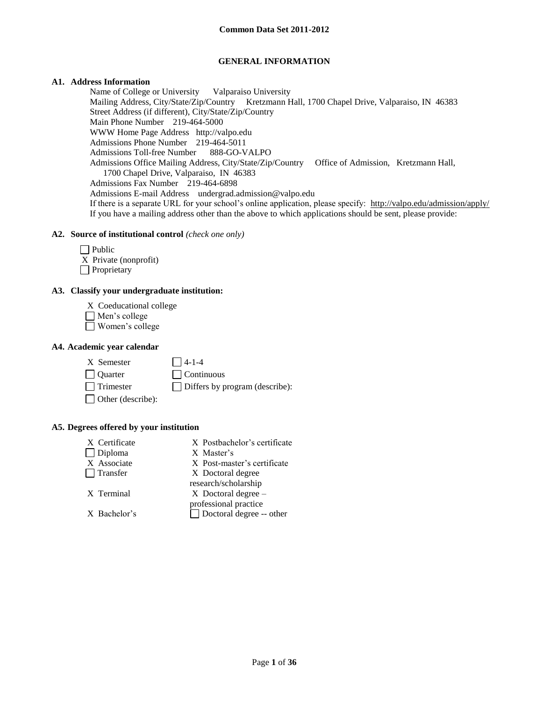## **GENERAL INFORMATION**

## **A1. Address Information**

Name of College or University Valparaiso University Mailing Address, City/State/Zip/Country Kretzmann Hall, 1700 Chapel Drive, Valparaiso, IN 46383 Street Address (if different), City/State/Zip/Country Main Phone Number 219-464-5000 WWW Home Page Address http://valpo.edu Admissions Phone Number 219-464-5011 Admissions Toll-free Number 888-GO-VALPO Admissions Office Mailing Address, City/State/Zip/Country Office of Admission, Kretzmann Hall, 1700 Chapel Drive, Valparaiso, IN 46383 Admissions Fax Number 219-464-6898 Admissions E-mail Address undergrad.admission@valpo.edu If there is a separate URL for your school's online application, please specify: http://valpo.edu/admission/apply/ If you have a mailing address other than the above to which applications should be sent, please provide:

### **A2. Source of institutional control** *(check one only)*

 $\Box$  Public X Private (nonprofit)

**Proprietary** 

## **A3. Classify your undergraduate institution:**

- X Coeducational college
- Men's college
- Women's college

#### **A4. Academic year calendar**

- $X$  Semester  $\Box$  4-1-4 Quarter Continuous
	-
- Trimester Differs by program (describe):
- □ Other (describe):

#### **A5. Degrees offered by your institution**

| X Certificate   | X Postbachelor's certificate    |
|-----------------|---------------------------------|
| $\Box$ Diploma  | X Master's                      |
| X Associate     | X Post-master's certificate     |
| $\Box$ Transfer | X Doctoral degree               |
|                 | research/scholarship            |
| X Terminal      | $X$ Doctoral degree –           |
|                 | professional practice           |
| X Bachelor's    | $\Box$ Doctoral degree -- other |
|                 |                                 |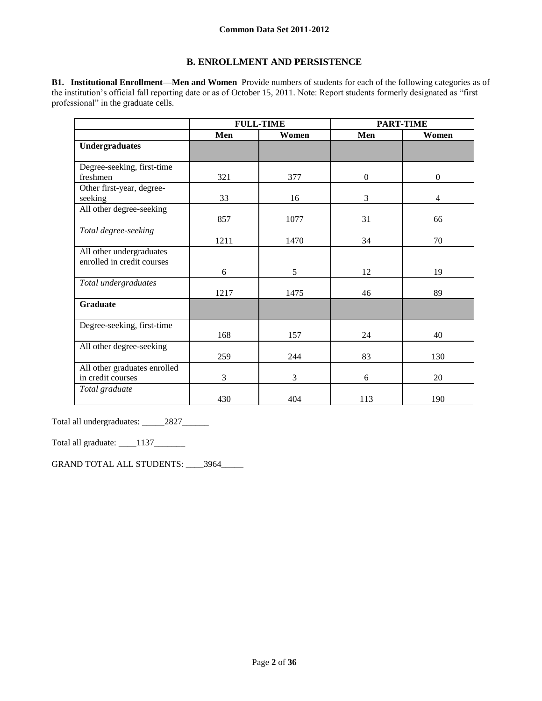## **B. ENROLLMENT AND PERSISTENCE**

**B1. Institutional Enrollment—Men and Women** Provide numbers of students for each of the following categories as of the institution's official fall reporting date or as of October 15, 2011. Note: Report students formerly designated as "first professional" in the graduate cells.

|                              | <b>FULL-TIME</b> |       |                  | <b>PART-TIME</b> |
|------------------------------|------------------|-------|------------------|------------------|
|                              | Men              | Women | Men              | Women            |
| <b>Undergraduates</b>        |                  |       |                  |                  |
|                              |                  |       |                  |                  |
| Degree-seeking, first-time   |                  |       |                  |                  |
| freshmen                     | 321              | 377   | $\boldsymbol{0}$ | $\boldsymbol{0}$ |
| Other first-year, degree-    |                  |       |                  |                  |
| seeking                      | 33               | 16    | 3                | 4                |
| All other degree-seeking     |                  |       |                  |                  |
|                              | 857              | 1077  | 31               | 66               |
| Total degree-seeking         |                  |       |                  |                  |
|                              | 1211             | 1470  | 34               | 70               |
| All other undergraduates     |                  |       |                  |                  |
| enrolled in credit courses   |                  |       |                  |                  |
|                              | 6                | 5     | 12               | 19               |
| Total undergraduates         |                  |       |                  |                  |
|                              | 1217             | 1475  | 46               | 89               |
| <b>Graduate</b>              |                  |       |                  |                  |
|                              |                  |       |                  |                  |
| Degree-seeking, first-time   |                  |       |                  |                  |
|                              | 168              | 157   | 24               | 40               |
| All other degree-seeking     |                  |       |                  |                  |
|                              | 259              | 244   | 83               | 130              |
| All other graduates enrolled |                  |       |                  |                  |
| in credit courses            | 3                | 3     | 6                | 20               |
| Total graduate               |                  |       |                  |                  |
|                              | 430              | 404   | 113              | 190              |

Total all undergraduates: \_\_\_\_\_2827\_\_\_\_\_\_

Total all graduate: \_\_\_\_1137\_\_\_\_\_\_\_

GRAND TOTAL ALL STUDENTS: \_\_\_\_3964\_\_\_\_\_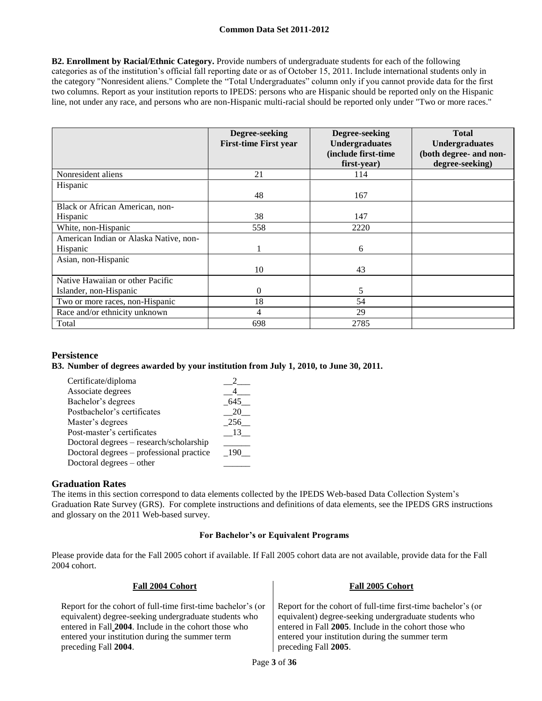**B2. Enrollment by Racial/Ethnic Category.** Provide numbers of undergraduate students for each of the following categories as of the institution's official fall reporting date or as of October 15, 2011. Include international students only in the category "Nonresident aliens." Complete the "Total Undergraduates" column only if you cannot provide data for the first two columns. Report as your institution reports to IPEDS: persons who are Hispanic should be reported only on the Hispanic line, not under any race, and persons who are non-Hispanic multi-racial should be reported only under "Two or more races."

|                                                    | Degree-seeking<br><b>First-time First year</b> | Degree-seeking<br><b>Undergraduates</b><br>(include first-time<br>first-year) | <b>Total</b><br><b>Undergraduates</b><br>(both degree- and non-<br>degree-seeking) |
|----------------------------------------------------|------------------------------------------------|-------------------------------------------------------------------------------|------------------------------------------------------------------------------------|
| Nonresident aliens                                 | 21                                             | 114                                                                           |                                                                                    |
| Hispanic                                           | 48                                             | 167                                                                           |                                                                                    |
| Black or African American, non-<br>Hispanic        | 38                                             | 147                                                                           |                                                                                    |
| White, non-Hispanic                                | 558                                            | 2220                                                                          |                                                                                    |
| American Indian or Alaska Native, non-<br>Hispanic |                                                | 6                                                                             |                                                                                    |
| Asian, non-Hispanic                                | 10                                             | 43                                                                            |                                                                                    |
| Native Hawaiian or other Pacific                   |                                                |                                                                               |                                                                                    |
| Islander, non-Hispanic                             | $\Omega$                                       | 5                                                                             |                                                                                    |
| Two or more races, non-Hispanic                    | 18                                             | 54                                                                            |                                                                                    |
| Race and/or ethnicity unknown                      | 4                                              | 29                                                                            |                                                                                    |
| Total                                              | 698                                            | 2785                                                                          |                                                                                    |

## **Persistence**

## **B3. Number of degrees awarded by your institution from July 1, 2010, to June 30, 2011.**

| Certificate/diploma                      |       |
|------------------------------------------|-------|
| Associate degrees                        |       |
| Bachelor's degrees                       | 645   |
| Postbachelor's certificates              | 20    |
| Master's degrees                         | 256   |
| Post-master's certificates               | 13.   |
| Doctoral degrees – research/scholarship  |       |
| Doctoral degrees – professional practice | - 190 |
| Doctoral degrees – other                 |       |

## **Graduation Rates**

The items in this section correspond to data elements collected by the IPEDS Web-based Data Collection System's Graduation Rate Survey (GRS). For complete instructions and definitions of data elements, see the IPEDS GRS instructions and glossary on the 2011 Web-based survey.

### **For Bachelor's or Equivalent Programs**

Please provide data for the Fall 2005 cohort if available. If Fall 2005 cohort data are not available, provide data for the Fall 2004 cohort.

| Fall 2004 Cohort                                             | Fall 2005 Cohort                                             |
|--------------------------------------------------------------|--------------------------------------------------------------|
| Report for the cohort of full-time first-time bachelor's (or | Report for the cohort of full-time first-time bachelor's (or |
| equivalent) degree-seeking undergraduate students who        | equivalent) degree-seeking undergraduate students who        |
| entered in Fall 2004. Include in the cohort those who        | entered in Fall 2005. Include in the cohort those who        |
| entered your institution during the summer term              | entered your institution during the summer term              |
| preceding Fall 2004.                                         | preceding Fall 2005.                                         |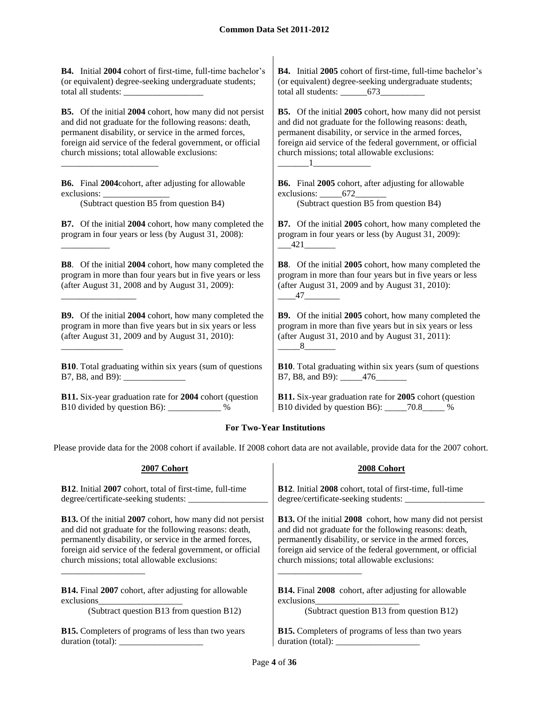**B4.** Initial **2004** cohort of first-time, full-time bachelor's (or equivalent) degree-seeking undergraduate students; total all students: **B4.** Initial **2005** cohort of first-time, full-time bachelor's (or equivalent) degree-seeking undergraduate students; total all students: \_\_\_\_\_\_673\_\_\_\_\_\_\_\_\_\_ **B5.** Of the initial **2004** cohort, how many did not persist and did not graduate for the following reasons: death, permanent disability, or service in the armed forces, foreign aid service of the federal government, or official church missions; total allowable exclusions: \_\_\_\_\_\_\_\_\_\_\_\_\_\_\_\_\_\_\_\_\_\_ **B5.** Of the initial **2005** cohort, how many did not persist and did not graduate for the following reasons: death, permanent disability, or service in the armed forces, foreign aid service of the federal government, or official church missions; total allowable exclusions:  $\Box$ 1 **B6.** Final **2004**cohort, after adjusting for allowable exclusions: **B6.** Final **2005** cohort, after adjusting for allowable exclusions: 672 (Subtract question B5 from question B4) (Subtract question B5 from question B4) **B7.** Of the initial **2004** cohort, how many completed the program in four years or less (by August 31, 2008): \_\_\_\_\_\_\_\_\_\_\_ **B7.** Of the initial **2005** cohort, how many completed the program in four years or less (by August 31, 2009):  $-421$ **B8**. Of the initial **2004** cohort, how many completed the program in more than four years but in five years or less (after August 31, 2008 and by August 31, 2009): \_\_\_\_\_\_\_\_\_\_\_\_\_\_\_\_\_ **B8**. Of the initial **2005** cohort, how many completed the program in more than four years but in five years or less (after August 31, 2009 and by August 31, 2010): \_\_\_\_47\_\_\_\_\_\_\_\_ **B9.** Of the initial **2004** cohort, how many completed the program in more than five years but in six years or less (after August 31, 2009 and by August 31, 2010): \_\_\_\_\_\_\_\_\_\_\_\_\_\_ **B9.** Of the initial **2005** cohort, how many completed the program in more than five years but in six years or less (after August 31, 2010 and by August 31, 2011):  $8$ **B10**. Total graduating within six years (sum of questions B7, B8, and B9): **B10**. Total graduating within six years (sum of questions B7, B8, and B9): \_\_\_\_\_\_476\_\_\_\_\_\_\_ **B11.** Six-year graduation rate for **2004** cohort (question B10 divided by question B6): \_\_\_\_\_\_\_\_\_\_\_\_ % **B11.** Six-year graduation rate for **2005** cohort (question B10 divided by question B6): \_\_\_\_\_70.8\_\_\_\_\_ %

## **For Two-Year Institutions**

Please provide data for the 2008 cohort if available. If 2008 cohort data are not available, provide data for the 2007 cohort.

| 2007 Cohort                                                                                                             | 2008 Cohort                                                                                               |
|-------------------------------------------------------------------------------------------------------------------------|-----------------------------------------------------------------------------------------------------------|
| <b>B12.</b> Initial 2007 cohort, total of first-time, full-time                                                         | <b>B12.</b> Initial 2008 cohort, total of first-time, full-time                                           |
| degree/certificate-seeking students:                                                                                    | degree/certificate-seeking students:                                                                      |
| <b>B13.</b> Of the initial 2007 cohort, how many did not persist                                                        | <b>B13.</b> Of the initial 2008 cohort, how many did not persist                                          |
| and did not graduate for the following reasons: death,                                                                  | and did not graduate for the following reasons: death,                                                    |
| permanently disability, or service in the armed forces,                                                                 | permanently disability, or service in the armed forces,                                                   |
| foreign aid service of the federal government, or official                                                              | foreign aid service of the federal government, or official                                                |
| church missions; total allowable exclusions:                                                                            | church missions; total allowable exclusions:                                                              |
| <b>B14.</b> Final 2007 cohort, after adjusting for allowable<br>exclusions<br>(Subtract question B13 from question B12) | <b>B14.</b> Final 2008 cohort, after adjusting for allowable<br>(Subtract question B13 from question B12) |
| <b>B15.</b> Completers of programs of less than two years                                                               | <b>B15.</b> Completers of programs of less than two years                                                 |
| duration (total):                                                                                                       | duration (total):                                                                                         |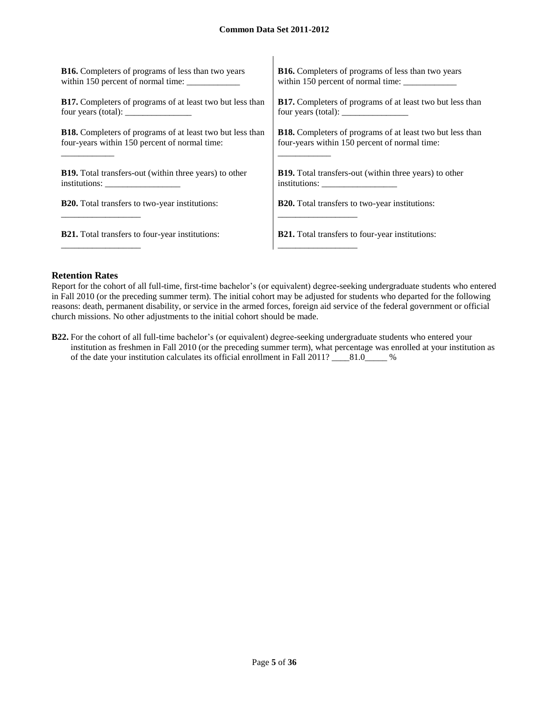$\overline{1}$ 

| <b>B16.</b> Completers of programs of less than two years        | <b>B16.</b> Completers of programs of less than two years                                                                                                                                                                                                                                                                                                                                                                           |
|------------------------------------------------------------------|-------------------------------------------------------------------------------------------------------------------------------------------------------------------------------------------------------------------------------------------------------------------------------------------------------------------------------------------------------------------------------------------------------------------------------------|
| within 150 percent of normal time:                               | within 150 percent of normal time:                                                                                                                                                                                                                                                                                                                                                                                                  |
| <b>B17.</b> Completers of programs of at least two but less than | B17. Completers of programs of at least two but less than                                                                                                                                                                                                                                                                                                                                                                           |
| four years (total): $\frac{1}{2}$                                | four years (total): $\frac{1}{\frac{1}{2} \cdot \frac{1}{2} \cdot \frac{1}{2} \cdot \frac{1}{2} \cdot \frac{1}{2} \cdot \frac{1}{2} \cdot \frac{1}{2} \cdot \frac{1}{2} \cdot \frac{1}{2} \cdot \frac{1}{2} \cdot \frac{1}{2} \cdot \frac{1}{2} \cdot \frac{1}{2} \cdot \frac{1}{2} \cdot \frac{1}{2} \cdot \frac{1}{2} \cdot \frac{1}{2} \cdot \frac{1}{2} \cdot \frac{1}{2} \cdot \frac{1}{2} \cdot \frac{1}{2} \cdot \frac{1}{2$ |
| <b>B18.</b> Completers of programs of at least two but less than | <b>B18.</b> Completers of programs of at least two but less than                                                                                                                                                                                                                                                                                                                                                                    |
| four-years within 150 percent of normal time:                    | four-years within 150 percent of normal time:                                                                                                                                                                                                                                                                                                                                                                                       |
| <b>B19.</b> Total transfers-out (within three years) to other    | <b>B19.</b> Total transfers-out (within three years) to other                                                                                                                                                                                                                                                                                                                                                                       |
|                                                                  |                                                                                                                                                                                                                                                                                                                                                                                                                                     |
| <b>B20.</b> Total transfers to two-year institutions:            | <b>B20.</b> Total transfers to two-year institutions:                                                                                                                                                                                                                                                                                                                                                                               |
|                                                                  |                                                                                                                                                                                                                                                                                                                                                                                                                                     |
| <b>B21.</b> Total transfers to four-year institutions:           | <b>B21.</b> Total transfers to four-year institutions:                                                                                                                                                                                                                                                                                                                                                                              |
|                                                                  |                                                                                                                                                                                                                                                                                                                                                                                                                                     |

## **Retention Rates**

Report for the cohort of all full-time, first-time bachelor's (or equivalent) degree-seeking undergraduate students who entered in Fall 2010 (or the preceding summer term). The initial cohort may be adjusted for students who departed for the following reasons: death, permanent disability, or service in the armed forces, foreign aid service of the federal government or official church missions. No other adjustments to the initial cohort should be made.

**B22.** For the cohort of all full-time bachelor's (or equivalent) degree-seeking undergraduate students who entered your institution as freshmen in Fall 2010 (or the preceding summer term), what percentage was enrolled at your institution as of the date your institution calculates its official enrollment in Fall 2011? \_\_\_\_81.0\_\_\_\_\_ %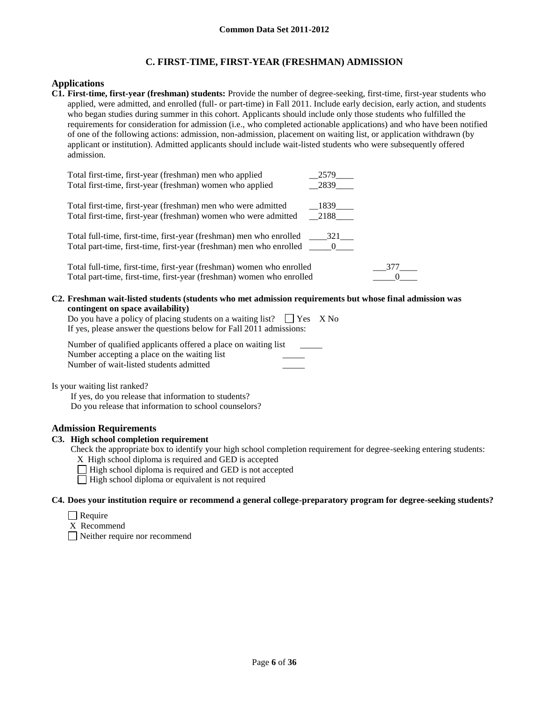# **C. FIRST-TIME, FIRST-YEAR (FRESHMAN) ADMISSION**

## **Applications**

**C1. First-time, first-year (freshman) students:** Provide the number of degree-seeking, first-time, first-year students who applied, were admitted, and enrolled (full- or part-time) in Fall 2011. Include early decision, early action, and students who began studies during summer in this cohort. Applicants should include only those students who fulfilled the requirements for consideration for admission (i.e., who completed actionable applications) and who have been notified of one of the following actions: admission, non-admission, placement on waiting list, or application withdrawn (by applicant or institution). Admitted applicants should include wait-listed students who were subsequently offered admission.

| Total first-time, first-year (freshman) men who applied                                                                                        | 2579                      |     |
|------------------------------------------------------------------------------------------------------------------------------------------------|---------------------------|-----|
| Total first-time, first-year (freshman) women who applied                                                                                      | 2839                      |     |
| Total first-time, first-year (freshman) men who were admitted                                                                                  | $-1839$ <sub>______</sub> |     |
| Total first-time, first-year (freshman) women who were admitted                                                                                | $-2188$ <sub>_____</sub>  |     |
|                                                                                                                                                |                           |     |
| Total part-time, first-time, first-year (freshman) men who enrolled ______0_____                                                               |                           |     |
| Total full-time, first-time, first-year (freshman) women who enrolled<br>Total part-time, first-time, first-year (freshman) women who enrolled |                           | 377 |
|                                                                                                                                                |                           |     |

**C2. Freshman wait-listed students (students who met admission requirements but whose final admission was contingent on space availability)**

Do you have a policy of placing students on a waiting list?  $\Box$  Yes X No If yes, please answer the questions below for Fall 2011 admissions:

Number of qualified applicants offered a place on waiting list Number accepting a place on the waiting list Number of wait-listed students admitted \_\_\_\_\_

Is your waiting list ranked?

If yes, do you release that information to students? Do you release that information to school counselors?

## **Admission Requirements**

## **C3. High school completion requirement**

Check the appropriate box to identify your high school completion requirement for degree-seeking entering students:

- X High school diploma is required and GED is accepted
- $\Box$  High school diploma is required and GED is not accepted
- $\Box$  High school diploma or equivalent is not required

#### **C4. Does your institution require or recommend a general college-preparatory program for degree-seeking students?**

- $\Box$  Require
- X Recommend

Neither require nor recommend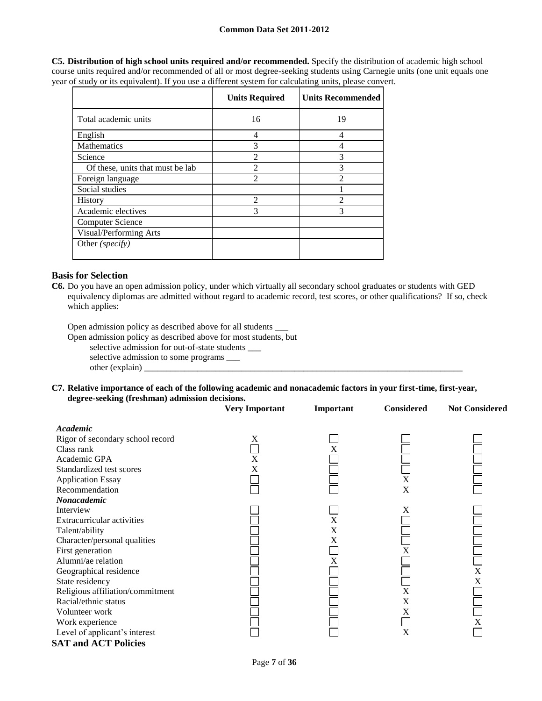**C5. Distribution of high school units required and/or recommended.** Specify the distribution of academic high school course units required and/or recommended of all or most degree-seeking students using Carnegie units (one unit equals one year of study or its equivalent). If you use a different system for calculating units, please convert.

|                                  | <b>Units Required</b>       | <b>Units Recommended</b> |
|----------------------------------|-----------------------------|--------------------------|
| Total academic units             | 16                          | 19                       |
| English                          | 4                           | $\overline{4}$           |
| <b>Mathematics</b>               | 3                           | 4                        |
| Science                          | $\overline{2}$              | 3                        |
| Of these, units that must be lab | $\mathfrak{D}$              | 3                        |
| Foreign language                 | $\mathcal{D}_{\mathcal{L}}$ | $\mathfrak{D}$           |
| Social studies                   |                             |                          |
| History                          | $\mathfrak{D}$              | $\mathcal{D}$            |
| Academic electives               | 3                           | 3                        |
| Computer Science                 |                             |                          |
| Visual/Performing Arts           |                             |                          |
| Other (specify)                  |                             |                          |

### **Basis for Selection**

**C6.** Do you have an open admission policy, under which virtually all secondary school graduates or students with GED equivalency diplomas are admitted without regard to academic record, test scores, or other qualifications? If so, check which applies:

Open admission policy as described above for all students \_\_\_

Open admission policy as described above for most students, but

selective admission for out-of-state students \_\_\_

selective admission to some programs \_\_\_ other (explain) \_

**C7. Relative importance of each of the following academic and nonacademic factors in your first-time, first-year, degree-seeking (freshman) admission decisions.**

|                                  | <b>Very Important</b> | Important | <b>Considered</b> | <b>Not Considered</b> |
|----------------------------------|-----------------------|-----------|-------------------|-----------------------|
| <b>Academic</b>                  |                       |           |                   |                       |
| Rigor of secondary school record | X                     |           |                   |                       |
| Class rank                       |                       | X         |                   |                       |
| Academic GPA                     | X                     |           |                   |                       |
| Standardized test scores         | X                     |           |                   |                       |
| <b>Application Essay</b>         |                       |           | X                 |                       |
| Recommendation                   |                       |           | X                 |                       |
| Nonacademic                      |                       |           |                   |                       |
| Interview                        |                       |           | X                 |                       |
| Extracurricular activities       |                       | X         |                   |                       |
| Talent/ability                   |                       | X         |                   |                       |
| Character/personal qualities     |                       | X         |                   |                       |
| First generation                 |                       |           | X                 |                       |
| Alumni/ae relation               |                       | X         |                   |                       |
| Geographical residence           |                       |           |                   | X                     |
| State residency                  |                       |           |                   | X                     |
| Religious affiliation/commitment |                       |           | X                 |                       |
| Racial/ethnic status             |                       |           | X                 |                       |
| Volunteer work                   |                       |           | X                 |                       |
| Work experience                  |                       |           |                   | X                     |
| Level of applicant's interest    |                       |           | X                 |                       |
| <b>SAT and ACT Policies</b>      |                       |           |                   |                       |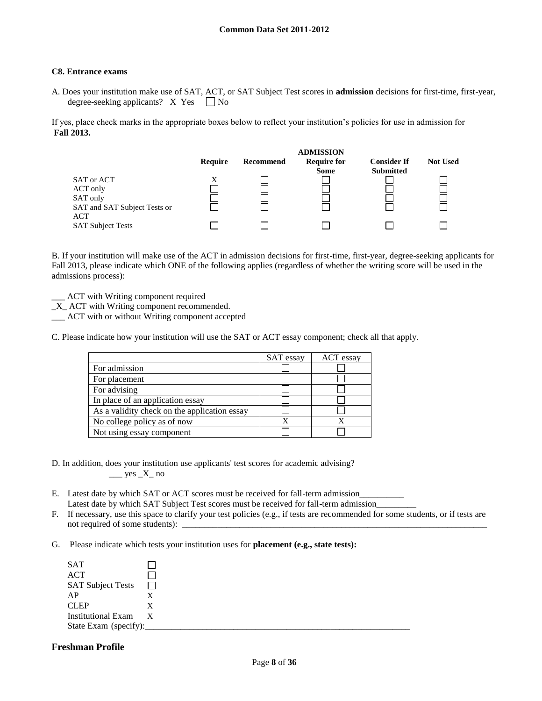#### **C8. Entrance exams**

A. Does your institution make use of SAT, ACT, or SAT Subject Test scores in **admission** decisions for first-time, first-year, degree-seeking applicants?  $X$  Yes  $\Box$  No

If yes, place check marks in the appropriate boxes below to reflect your institution's policies for use in admission for **Fall 2013.**



B. If your institution will make use of the ACT in admission decisions for first-time, first-year, degree-seeking applicants for Fall 2013, please indicate which ONE of the following applies (regardless of whether the writing score will be used in the admissions process):

\_\_\_ ACT with Writing component required

\_X\_ ACT with Writing component recommended.

\_\_\_ ACT with or without Writing component accepted

C. Please indicate how your institution will use the SAT or ACT essay component; check all that apply.

|                                              | SAT essay | ACT essay |
|----------------------------------------------|-----------|-----------|
| For admission                                |           |           |
| For placement                                |           |           |
| For advising                                 |           |           |
| In place of an application essay             |           |           |
| As a validity check on the application essay |           |           |
| No college policy as of now                  | x         |           |
| Not using essay component                    |           |           |

- D. In addition, does your institution use applicants' test scores for academic advising?  $\frac{\text{yes }X}{\text{no}}$
- E. Latest date by which SAT or ACT scores must be received for fall-term admission\_ Latest date by which SAT Subject Test scores must be received for fall-term admission
- F. If necessary, use this space to clarify your test policies (e.g., if tests are recommended for some students, or if tests are not required of some students):  $\Box$
- G. Please indicate which tests your institution uses for **placement (e.g., state tests):**

| SAT                       |   |
|---------------------------|---|
| <b>ACT</b>                |   |
| <b>SAT Subject Tests</b>  |   |
| AP                        | X |
| <b>CLEP</b>               | X |
| <b>Institutional Exam</b> | X |
| State Exam (specify):     |   |

## **Freshman Profile**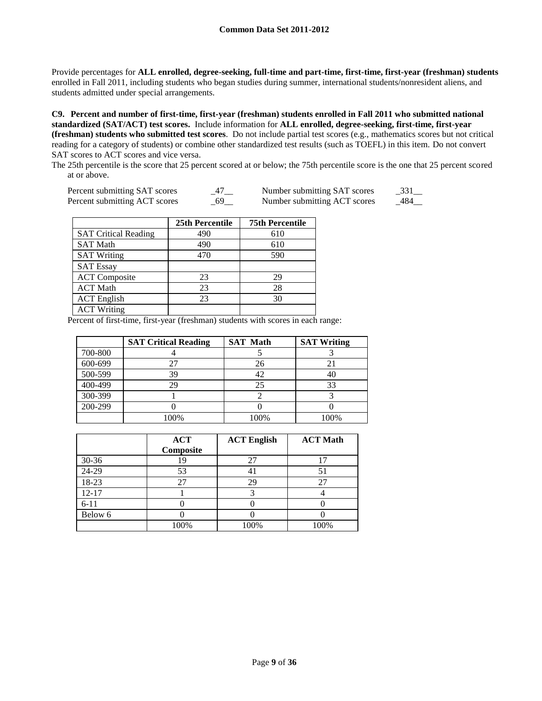Provide percentages for **ALL enrolled, degree-seeking, full-time and part-time, first-time, first-year (freshman) students**  enrolled in Fall 2011, including students who began studies during summer, international students/nonresident aliens, and students admitted under special arrangements.

**C9. Percent and number of first-time, first-year (freshman) students enrolled in Fall 2011 who submitted national standardized (SAT/ACT) test scores.** Include information for **ALL enrolled, degree-seeking, first-time, first-year (freshman) students who submitted test scores**. Do not include partial test scores (e.g., mathematics scores but not critical reading for a category of students) or combine other standardized test results (such as TOEFL) in this item. Do not convert SAT scores to ACT scores and vice versa.

The 25th percentile is the score that 25 percent scored at or below; the 75th percentile score is the one that 25 percent scored at or above.

| Percent submitting SAT scores | Number submitting SAT scores | 331  |
|-------------------------------|------------------------------|------|
| Percent submitting ACT scores | Number submitting ACT scores | -484 |

|                             | 25th Percentile | <b>75th Percentile</b> |
|-----------------------------|-----------------|------------------------|
| <b>SAT Critical Reading</b> | 490             | 610                    |
| <b>SAT Math</b>             | 490             | 610                    |
| <b>SAT Writing</b>          | 470             | 590                    |
| <b>SAT Essay</b>            |                 |                        |
| <b>ACT</b> Composite        | 23              | 29                     |
| <b>ACT Math</b>             | 23              | 28                     |
| <b>ACT</b> English          | 23              | 30                     |
| <b>ACT Writing</b>          |                 |                        |

Percent of first-time, first-year (freshman) students with scores in each range:

|         | <b>SAT Critical Reading</b> | <b>SAT Math</b> | <b>SAT Writing</b> |
|---------|-----------------------------|-----------------|--------------------|
| 700-800 |                             |                 |                    |
| 600-699 | 27                          | 26              |                    |
| 500-599 | 39                          | 42              | 40                 |
| 400-499 | 29                          | 25              | 33                 |
| 300-399 |                             |                 |                    |
| 200-299 |                             |                 |                    |
|         | 100%                        | 100%            | 100%               |

|           | <b>ACT</b><br>Composite | <b>ACT English</b> | <b>ACT Math</b> |
|-----------|-------------------------|--------------------|-----------------|
| $30 - 36$ | 19                      | 27                 |                 |
| 24-29     | 53                      | 4 <sub>1</sub>     |                 |
| 18-23     | 27                      | 29                 |                 |
| $12 - 17$ |                         |                    |                 |
| $6 - 11$  |                         |                    |                 |
| Below 6   |                         |                    |                 |
|           | 100%                    | 100%               | 100%            |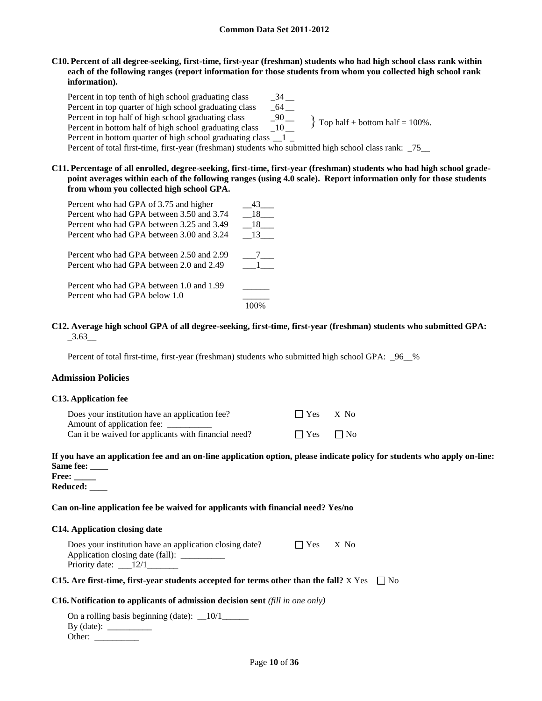## **C10. Percent of all degree-seeking, first-time, first-year (freshman) students who had high school class rank within each of the following ranges (report information for those students from whom you collected high school rank information).**

Percent in top tenth of high school graduating class \_\_\_\_\_\_\_\_\_\_\_\_\_\_\_\_\_\_\_\_\_\_\_\_\_\_\_\_ Percent in top quarter of high school graduating class \_\_64 \_\_<br>Percent in top half of high school graduating class \_\_90 \_\_ Percent in top half of high school graduating class \_90 \_\_ Percent in bottom half of high school graduating class Percent in bottom quarter of high school graduating class 1 Percent of total first-time, first-year (freshman) students who submitted high school class rank: 75  $\{$  Top half + bottom half = 100%.

**C11. Percentage of all enrolled, degree-seeking, first-time, first-year (freshman) students who had high school gradepoint averages within each of the following ranges (using 4.0 scale). Report information only for those students from whom you collected high school GPA.**

| Percent who had GPA of 3.75 and higher    | 43  |
|-------------------------------------------|-----|
| Percent who had GPA between 3.50 and 3.74 | 18  |
| Percent who had GPA between 3.25 and 3.49 | 18  |
| Percent who had GPA between 3.00 and 3.24 | -13 |
| Percent who had GPA between 2.50 and 2.99 |     |
| Percent who had GPA between 2.0 and 2.49  |     |
| Percent who had GPA between 1.0 and 1.99  |     |
| Percent who had GPA below 1.0             |     |
|                                           |     |

## **C12. Average high school GPA of all degree-seeking, first-time, first-year (freshman) students who submitted GPA:**  $-3.63$ <sub>—</sub>

Percent of total first-time, first-year (freshman) students who submitted high school GPA: 96 %

## **Admission Policies**

#### **C13. Application fee**

| Does your institution have an application fee?       | $\Box$ Yes $X$ No    |  |
|------------------------------------------------------|----------------------|--|
| Amount of application fee:                           |                      |  |
| Can it be waived for applicants with financial need? | $\Box$ Yes $\Box$ No |  |

# **If you have an application fee and an on-line application option, please indicate policy for students who apply on-line: Same fee: \_\_\_\_**

| <b>Free:</b> |  |
|--------------|--|
| Reduced:     |  |

## **Can on-line application fee be waived for applicants with financial need? Yes/no**

## **C14. Application closing date**

| Does your institution have an application closing date? | $\Box$ Yes | X No |
|---------------------------------------------------------|------------|------|
| Application closing date (fall):                        |            |      |
| Priority date: $\_\_12/1$                               |            |      |

# **C15.** Are first-time, first-year students accepted for terms other than the fall?  $X$  Yes  $\Box$  No

## **C16. Notification to applicants of admission decision sent** *(fill in one only)*

| On a rolling basis beginning (date): $\_\$ 10/1 |  |
|-------------------------------------------------|--|
| By $(data)$ :                                   |  |
| Other:                                          |  |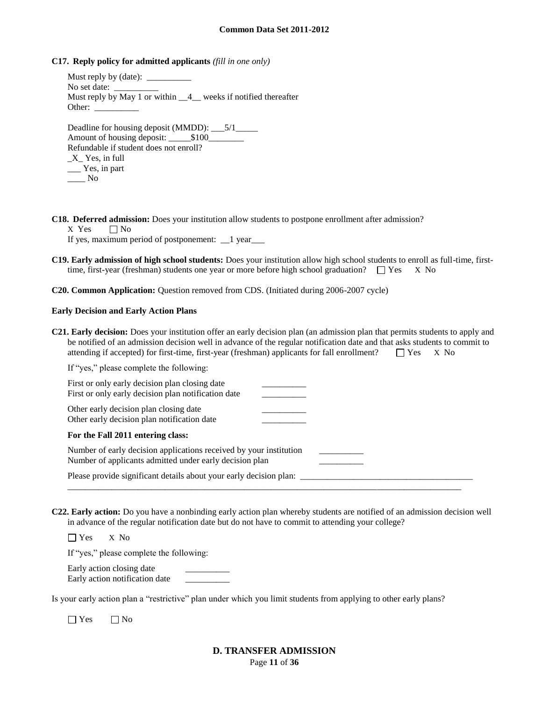#### **C17. Reply policy for admitted applicants** *(fill in one only)*

Must reply by (date): No set date: Must reply by May 1 or within  $\_\_4\_\_$  weeks if notified thereafter Other: Deadline for housing deposit (MMDD): \_\_\_5/1\_\_\_\_ Amount of housing deposit:  $$100$ Refundable if student does not enroll? \_X\_ Yes, in full \_\_\_ Yes, in part  $\_\_\_\_\$  No

**C18. Deferred admission:** Does your institution allow students to postpone enrollment after admission?

 $X$  Yes  $\Box$  No

If yes, maximum period of postponement: \_\_1 year\_\_\_

**C19. Early admission of high school students:** Does your institution allow high school students to enroll as full-time, firsttime, first-year (freshman) students one year or more before high school graduation?  $\square$  Yes X No

**C20. Common Application:** Question removed from CDS. (Initiated during 2006-2007 cycle)

#### **Early Decision and Early Action Plans**

| <b>C21. Early decision:</b> Does your institution offer an early decision plan (an admission plan that permits students to apply and |  |  |
|--------------------------------------------------------------------------------------------------------------------------------------|--|--|
| be notified of an admission decision well in advance of the regular notification date and that asks students to commit to            |  |  |
| attending if accepted) for first-time, first-year (freshman) applicants for fall enrollment? $\square$ Yes $\times$ No               |  |  |

| If "yes," please complete the following:                                                                                      |  |
|-------------------------------------------------------------------------------------------------------------------------------|--|
| First or only early decision plan closing date<br>First or only early decision plan notification date                         |  |
| Other early decision plan closing date<br>Other early decision plan notification date                                         |  |
| For the Fall 2011 entering class:                                                                                             |  |
| Number of early decision applications received by your institution<br>Number of applicants admitted under early decision plan |  |
| Please provide significant details about your early decision plan:                                                            |  |

**C22. Early action:** Do you have a nonbinding early action plan whereby students are notified of an admission decision well in advance of the regular notification date but do not have to commit to attending your college?

\_\_\_\_\_\_\_\_\_\_\_\_\_\_\_\_\_\_\_\_\_\_\_\_\_\_\_\_\_\_\_\_\_\_\_\_\_\_\_\_\_\_\_\_\_\_\_\_\_\_\_\_\_\_\_\_\_\_\_\_\_\_\_\_\_\_\_\_\_\_\_\_\_\_\_\_\_\_\_\_\_\_\_\_\_\_\_\_\_

Yes X No

If "yes," please complete the following:

Early action closing date Early action notification date \_\_\_\_\_\_\_\_\_\_

Is your early action plan a "restrictive" plan under which you limit students from applying to other early plans?

 $\Box$  Yes  $\Box$  No

## Page **11** of **36 D. TRANSFER ADMISSION**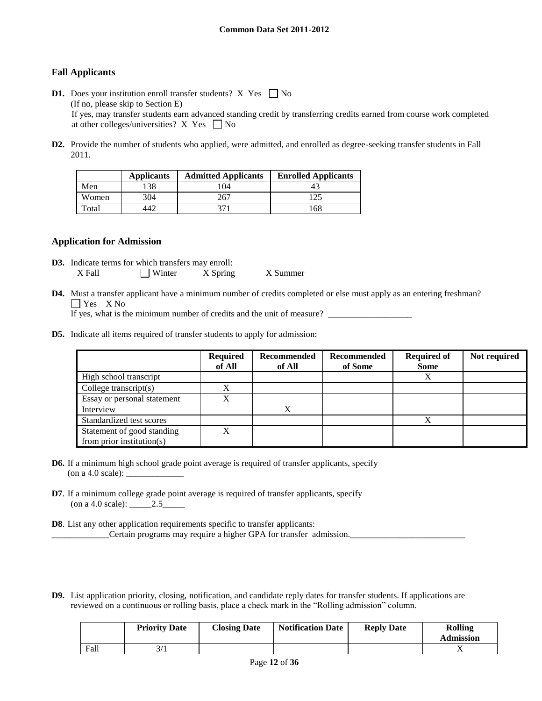# **Fall Applicants**

- **D1.** Does your institution enroll transfer students? X Yes  $\Box$  No (If no, please skip to Section E) If yes, may transfer students earn advanced standing credit by transferring credits earned from course work completed at other colleges/universities?  $X$  Yes  $\Box$  No
- **D2.** Provide the number of students who applied, were admitted, and enrolled as degree-seeking transfer students in Fall 2011.

|       | <b>Applicants</b> | <b>Admitted Applicants</b> | <b>Enrolled Applicants</b> |
|-------|-------------------|----------------------------|----------------------------|
| Men   | l 38              | 104                        |                            |
| Women | 304               | 267                        | 125                        |
| Total |                   | 271                        | 168                        |

## **Application for Admission**

- **D3.** Indicate terms for which transfers may enroll: X Fall Winter X Spring X Summer
- **D4.** Must a transfer applicant have a minimum number of credits completed or else must apply as an entering freshman? Yes X No

If yes, what is the minimum number of credits and the unit of measure? \_\_\_\_\_\_\_\_\_\_\_\_\_\_\_\_\_\_\_

**D5.** Indicate all items required of transfer students to apply for admission:

|                                                             | <b>Required</b><br>of All | Recommended<br>of All | Recommended<br>of Some | <b>Required of</b><br><b>Some</b> | Not required |
|-------------------------------------------------------------|---------------------------|-----------------------|------------------------|-----------------------------------|--------------|
| High school transcript                                      |                           |                       |                        | Х                                 |              |
| College transcript $(s)$                                    | v                         |                       |                        |                                   |              |
| Essay or personal statement                                 | $\mathbf v$               |                       |                        |                                   |              |
| Interview                                                   |                           | X                     |                        |                                   |              |
| Standardized test scores                                    |                           |                       |                        | X                                 |              |
| Statement of good standing<br>from prior institution( $s$ ) | v                         |                       |                        |                                   |              |

- **D6.** If a minimum high school grade point average is required of transfer applicants, specify  $($ on a 4.0 scale $)$ :
- **D7**. If a minimum college grade point average is required of transfer applicants, specify (on a 4.0 scale): \_\_\_\_\_2.5\_\_\_\_\_
- **D8**. List any other application requirements specific to transfer applicants: \_\_\_\_\_\_\_\_\_\_\_\_\_Certain programs may require a higher GPA for transfer admission.\_\_\_\_\_\_\_\_\_\_\_\_\_\_\_\_\_\_\_\_\_\_\_\_\_\_
- **D9.** List application priority, closing, notification, and candidate reply dates for transfer students. If applications are reviewed on a continuous or rolling basis, place a check mark in the "Rolling admission" column.

|      | <b>Priority Date</b> | <b>Closing Date</b> | <b>Notification Date</b> | <b>Reply Date</b> | <b>Rolling</b><br><b>Admission</b> |
|------|----------------------|---------------------|--------------------------|-------------------|------------------------------------|
| Fall |                      |                     |                          |                   | ∡ ב                                |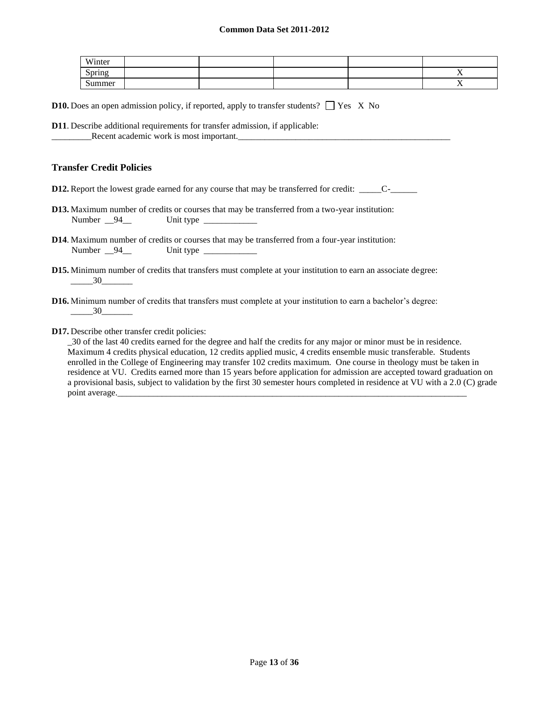| Winter |  |  |                        |
|--------|--|--|------------------------|
| Spring |  |  | $ -$<br>$\overline{ }$ |
| Summer |  |  | $ -$<br>$\overline{ }$ |

**D10.** Does an open admission policy, if reported, apply to transfer students?  $\Box$  Yes X No

**D11**. Describe additional requirements for transfer admission, if applicable: \_Recent academic work is most important.

## **Transfer Credit Policies**

**D12.** Report the lowest grade earned for any course that may be transferred for credit: \_\_\_\_\_\_C-\_\_\_\_\_\_\_\_\_\_

- **D13.** Maximum number of credits or courses that may be transferred from a two-year institution: Number  $\_94$  Unit type  $\_$
- **D14**. Maximum number of credits or courses that may be transferred from a four-year institution: Number 94 Unit type
- **D15.** Minimum number of credits that transfers must complete at your institution to earn an associate degree: \_\_\_\_\_30\_\_\_\_\_\_\_
- **D16.** Minimum number of credits that transfers must complete at your institution to earn a bachelor's degree:  $\frac{30}{2}$
- **D17.** Describe other transfer credit policies:

\_30 of the last 40 credits earned for the degree and half the credits for any major or minor must be in residence. Maximum 4 credits physical education, 12 credits applied music, 4 credits ensemble music transferable. Students enrolled in the College of Engineering may transfer 102 credits maximum. One course in theology must be taken in residence at VU. Credits earned more than 15 years before application for admission are accepted toward graduation on a provisional basis, subject to validation by the first 30 semester hours completed in residence at VU with a 2.0 (C) grade point average.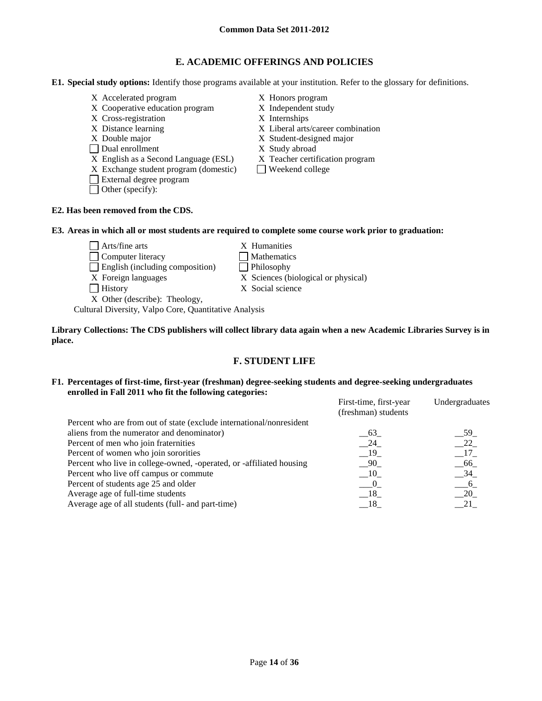# **E. ACADEMIC OFFERINGS AND POLICIES**

**E1. Special study options:** Identify those programs available at your institution. Refer to the glossary for definitions.

- X Accelerated program X Honors program
- X Cooperative education program X Independent study
- X Cross-registration X Internships
- 
- 
- Dual enrollment X Study abroad
- X English as a Second Language (ESL) X Teacher certification program
- $X$  Exchange student program (domestic)  $\Box$  Weekend college
- External degree program
- Other (specify):
- 
- 
- 
- X Distance learning X Liberal arts/career combination
- X Double major X Student-designed major
	-
	-
	-

### **E2. Has been removed from the CDS.**

#### **E3. Areas in which all or most students are required to complete some course work prior to graduation:**

- $\Box$  Arts/fine arts  $X$  Humanities □ Computer literacy △ □ Mathematics
- English (including composition) Philosophy
- X Foreign languages X Sciences (biological or physical)
- 
- History X Social science

X Other (describe): Theology,

Cultural Diversity, Valpo Core, Quantitative Analysis

#### **Library Collections: The CDS publishers will collect library data again when a new Academic Libraries Survey is in place.**

## **F. STUDENT LIFE**

#### **F1. Percentages of first-time, first-year (freshman) degree-seeking students and degree-seeking undergraduates enrolled in Fall 2011 who fit the following categories:** First-time, first-year Undergraduate

| Percent who are from out of state (exclude international/nonresident<br>aliens from the numerator and denominator)<br>63<br>Percent of men who join fraternities<br>24<br>Percent of women who join sororities<br>$-19$<br>Percent who live in college-owned, -operated, or -affiliated housing<br>- 90<br>Percent who live off campus or commute<br>$-10$<br>Percent of students age 25 and older<br>$\sim 0$<br>Average age of full-time students<br>$-18$<br>Average age of all students (full- and part-time)<br>- 18 | First-time, first-year<br>(freshman) students | Undergraduates  |
|---------------------------------------------------------------------------------------------------------------------------------------------------------------------------------------------------------------------------------------------------------------------------------------------------------------------------------------------------------------------------------------------------------------------------------------------------------------------------------------------------------------------------|-----------------------------------------------|-----------------|
|                                                                                                                                                                                                                                                                                                                                                                                                                                                                                                                           |                                               |                 |
|                                                                                                                                                                                                                                                                                                                                                                                                                                                                                                                           |                                               | - 59            |
|                                                                                                                                                                                                                                                                                                                                                                                                                                                                                                                           |                                               | 22              |
|                                                                                                                                                                                                                                                                                                                                                                                                                                                                                                                           |                                               | 17              |
|                                                                                                                                                                                                                                                                                                                                                                                                                                                                                                                           |                                               | - 66            |
|                                                                                                                                                                                                                                                                                                                                                                                                                                                                                                                           |                                               | $-34$           |
|                                                                                                                                                                                                                                                                                                                                                                                                                                                                                                                           |                                               | $6\overline{6}$ |
|                                                                                                                                                                                                                                                                                                                                                                                                                                                                                                                           |                                               | 20              |
|                                                                                                                                                                                                                                                                                                                                                                                                                                                                                                                           |                                               | 21              |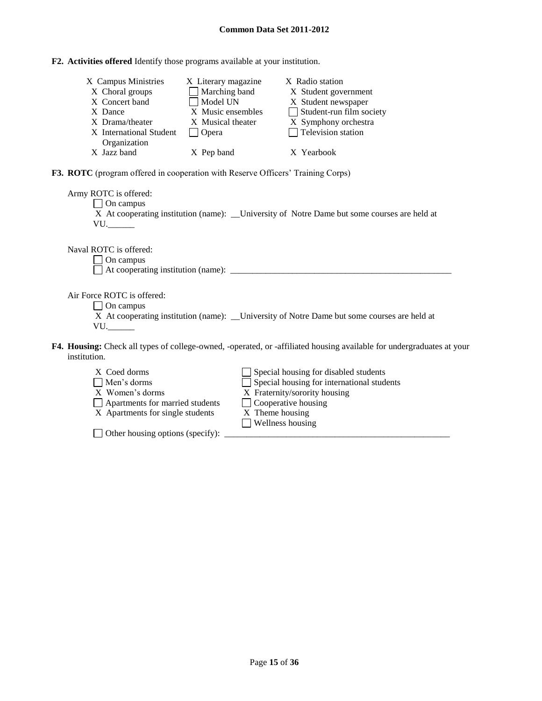**F2. Activities offered** Identify those programs available at your institution.

| X Campus Ministries     | X Literary magazine | X Radio station                 |
|-------------------------|---------------------|---------------------------------|
| X Choral groups         | Marching band       | X Student government            |
| X Concert band          | Model UN            | X Student newspaper             |
| X Dance                 | X Music ensembles   | $\Box$ Student-run film society |
| X Drama/theater         | X Musical theater   | X Symphony orchestra            |
| X International Student | Opera               | $\Box$ Television station       |
| Organization            |                     |                                 |
| X Jazz band             | X Pep band          | X Yearbook                      |

**F3. ROTC** (program offered in cooperation with Reserve Officers' Training Corps)

Army ROTC is offered: □ On campus X At cooperating institution (name): \_\_University of Notre Dame but some courses are held at VU.

Naval ROTC is offered:

On campus

 $\Box$  At cooperating institution (name):  $\Box$ 

Air Force ROTC is offered:

On campus

X At cooperating institution (name): \_\_University of Notre Dame but some courses are held at VU.

- **F4. Housing:** Check all types of college-owned, -operated, or -affiliated housing available for undergraduates at your institution.
	- $X$  Coed dorms  $\Box$  Special housing for disabled students Men's dorms Special housing for international students Special housing Special housing Special housing X Fraternity/sorority housing<br>  $\Box$  Cooperative housing  $\Box$  Apartments for married students X Apartments for single students X Theme housing Wellness housing

 $\Box$  Other housing options (specify):  $\Box$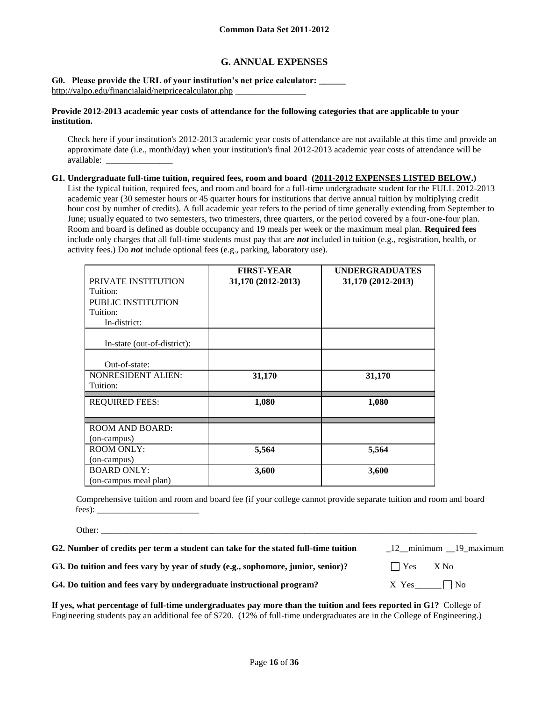# **G. ANNUAL EXPENSES**

**G0. Please provide the URL of your institution's net price calculator: \_\_\_\_\_\_**  <http://valpo.edu/financialaid/netpricecalculator.php> \_\_\_\_\_\_\_\_\_\_\_\_\_\_\_\_

#### **Provide 2012-2013 academic year costs of attendance for the following categories that are applicable to your institution.**

Check here if your institution's 2012-2013 academic year costs of attendance are not available at this time and provide an approximate date (i.e., month/day) when your institution's final 2012-2013 academic year costs of attendance will be available: \_\_\_\_\_\_\_\_\_\_\_\_\_\_\_

**G1. Undergraduate full-time tuition, required fees, room and board (2011-2012 EXPENSES LISTED BELOW.)**

List the typical tuition, required fees, and room and board for a full-time undergraduate student for the FULL 2012-2013 academic year (30 semester hours or 45 quarter hours for institutions that derive annual tuition by multiplying credit hour cost by number of credits). A full academic year refers to the period of time generally extending from September to June; usually equated to two semesters, two trimesters, three quarters, or the period covered by a four-one-four plan. Room and board is defined as double occupancy and 19 meals per week or the maximum meal plan. **Required fees** include only charges that all full-time students must pay that are *not* included in tuition (e.g., registration, health, or activity fees.) Do *not* include optional fees (e.g., parking, laboratory use).

|                             | <b>FIRST-YEAR</b>  | <b>UNDERGRADUATES</b> |
|-----------------------------|--------------------|-----------------------|
| PRIVATE INSTITUTION         | 31,170 (2012-2013) | 31,170 (2012-2013)    |
| Tuition:                    |                    |                       |
| <b>PUBLIC INSTITUTION</b>   |                    |                       |
| Tuition:                    |                    |                       |
| In-district:                |                    |                       |
| In-state (out-of-district): |                    |                       |
|                             |                    |                       |
| Out-of-state:               |                    |                       |
| <b>NONRESIDENT ALIEN:</b>   | 31,170             | 31,170                |
| Tuition:                    |                    |                       |
| <b>REQUIRED FEES:</b>       | 1,080              | 1,080                 |
| <b>ROOM AND BOARD:</b>      |                    |                       |
| (on-campus)                 |                    |                       |
| <b>ROOM ONLY:</b>           | 5,564              | 5,564                 |
| (on-campus)                 |                    |                       |
| <b>BOARD ONLY:</b>          | 3,600              | 3,600                 |
| (on-campus meal plan)       |                    |                       |

Comprehensive tuition and room and board fee (if your college cannot provide separate tuition and room and board fees): \_\_\_\_\_\_\_\_\_\_\_\_\_\_\_\_\_\_\_\_\_\_\_

Other: \_\_\_\_\_\_\_\_\_\_\_\_\_\_\_\_\_\_\_\_\_\_\_\_\_\_\_\_\_\_\_\_\_\_\_\_\_\_\_\_\_\_\_\_\_\_\_\_\_\_\_\_\_\_\_\_\_\_\_\_\_\_\_\_\_\_\_\_\_\_\_\_\_\_\_\_\_\_\_\_\_\_\_\_\_

| G2. Number of credits per term a student can take for the stated full-time tuition | 12 minimum 19 maximum |
|------------------------------------------------------------------------------------|-----------------------|
| G3. Do tuition and fees vary by year of study (e.g., sophomore, junior, senior)?   | $\bigcap$ Yes $X$ No  |
| G4. Do tuition and fees vary by undergraduate instructional program?               | $X$ Yes $\Box$ No     |

**If yes, what percentage of full-time undergraduates pay more than the tuition and fees reported in G1?** College of Engineering students pay an additional fee of \$720. (12% of full-time undergraduates are in the College of Engineering.)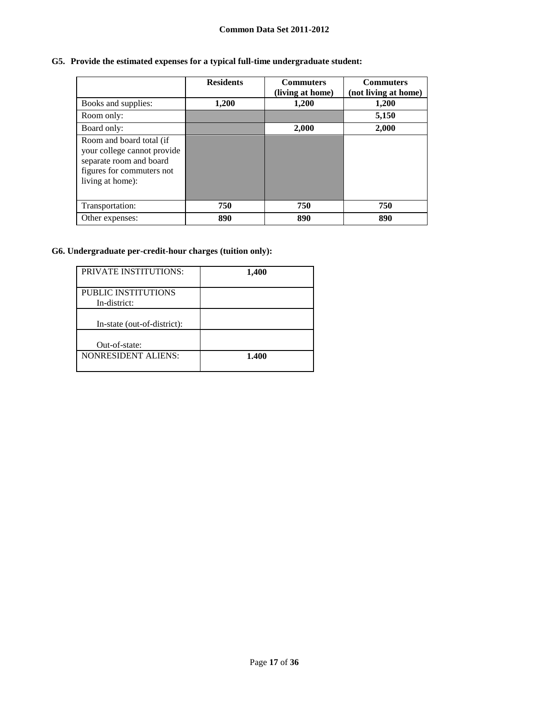# **G5. Provide the estimated expenses for a typical full-time undergraduate student:**

|                                                                                                                                     | <b>Residents</b> | <b>Commuters</b><br>(living at home) | <b>Commuters</b><br>(not living at home) |
|-------------------------------------------------------------------------------------------------------------------------------------|------------------|--------------------------------------|------------------------------------------|
| Books and supplies:                                                                                                                 | 1,200            | 1,200                                | 1,200                                    |
| Room only:                                                                                                                          |                  |                                      | 5,150                                    |
| Board only:                                                                                                                         |                  | 2,000                                | 2,000                                    |
| Room and board total (if<br>your college cannot provide<br>separate room and board<br>figures for commuters not<br>living at home): |                  |                                      |                                          |
| Transportation:                                                                                                                     | 750              | 750                                  | 750                                      |
| Other expenses:                                                                                                                     | 890              | 890                                  | 890                                      |

# **G6. Undergraduate per-credit-hour charges (tuition only):**

| <b>PRIVATE INSTITUTIONS:</b>        | 1,400 |
|-------------------------------------|-------|
| PUBLIC INSTITUTIONS<br>In-district: |       |
| In-state (out-of-district):         |       |
| Out-of-state:                       |       |
| <b>NONRESIDENT ALIENS:</b>          | 1.400 |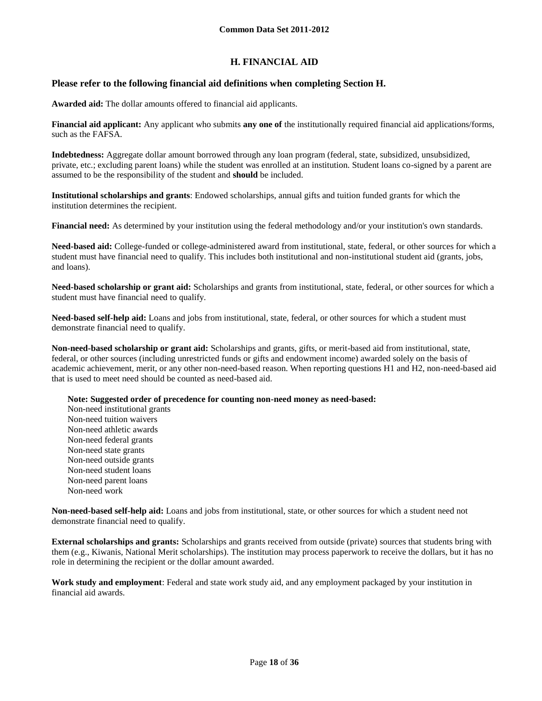# **H. FINANCIAL AID**

## **Please refer to the following financial aid definitions when completing Section H.**

**Awarded aid:** The dollar amounts offered to financial aid applicants.

**Financial aid applicant:** Any applicant who submits **any one of** the institutionally required financial aid applications/forms, such as the FAFSA.

**Indebtedness:** Aggregate dollar amount borrowed through any loan program (federal, state, subsidized, unsubsidized, private, etc.; excluding parent loans) while the student was enrolled at an institution. Student loans co-signed by a parent are assumed to be the responsibility of the student and **should** be included.

**Institutional scholarships and grants**: Endowed scholarships, annual gifts and tuition funded grants for which the institution determines the recipient.

**Financial need:** As determined by your institution using the federal methodology and/or your institution's own standards.

**Need-based aid:** College-funded or college-administered award from institutional, state, federal, or other sources for which a student must have financial need to qualify. This includes both institutional and non-institutional student aid (grants, jobs, and loans).

**Need-based scholarship or grant aid:** Scholarships and grants from institutional, state, federal, or other sources for which a student must have financial need to qualify.

**Need-based self-help aid:** Loans and jobs from institutional, state, federal, or other sources for which a student must demonstrate financial need to qualify.

**Non-need-based scholarship or grant aid:** Scholarships and grants, gifts, or merit-based aid from institutional, state, federal, or other sources (including unrestricted funds or gifts and endowment income) awarded solely on the basis of academic achievement, merit, or any other non-need-based reason. When reporting questions H1 and H2, non-need-based aid that is used to meet need should be counted as need-based aid.

**Note: Suggested order of precedence for counting non-need money as need-based:**

Non-need institutional grants Non-need tuition waivers Non-need athletic awards Non-need federal grants Non-need state grants Non-need outside grants Non-need student loans Non-need parent loans Non-need work

**Non-need-based self-help aid:** Loans and jobs from institutional, state, or other sources for which a student need not demonstrate financial need to qualify.

**External scholarships and grants:** Scholarships and grants received from outside (private) sources that students bring with them (e.g., Kiwanis, National Merit scholarships). The institution may process paperwork to receive the dollars, but it has no role in determining the recipient or the dollar amount awarded.

**Work study and employment**: Federal and state work study aid, and any employment packaged by your institution in financial aid awards.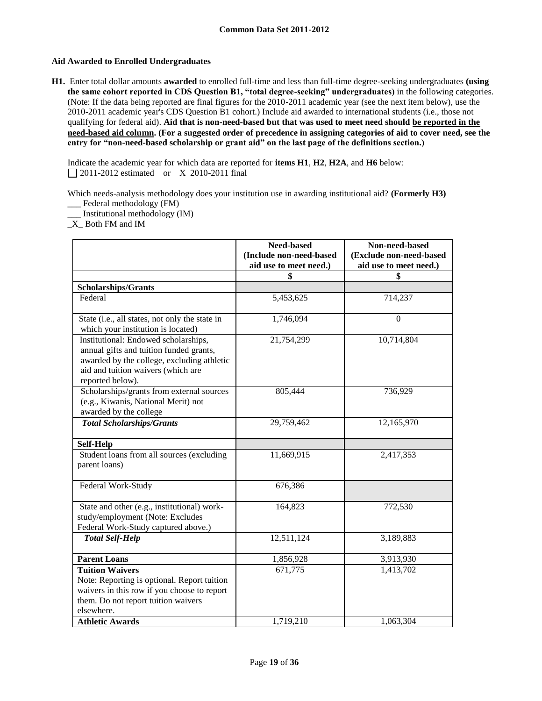## **Aid Awarded to Enrolled Undergraduates**

**H1.** Enter total dollar amounts **awarded** to enrolled full-time and less than full-time degree-seeking undergraduates **(using the same cohort reported in CDS Question B1, "total degree-seeking" undergraduates)** in the following categories. (Note: If the data being reported are final figures for the 2010-2011 academic year (see the next item below), use the 2010-2011 academic year's CDS Question B1 cohort.) Include aid awarded to international students (i.e., those not qualifying for federal aid). **Aid that is non-need-based but that was used to meet need should be reported in the need-based aid column. (For a suggested order of precedence in assigning categories of aid to cover need, see the entry for "non-need-based scholarship or grant aid" on the last page of the definitions section.)**

Indicate the academic year for which data are reported for **items H1**, **H2**, **H2A**, and **H6** below: 2011-2012 estimated or X 2010-2011 final

Which needs-analysis methodology does your institution use in awarding institutional aid? **(Formerly H3)** \_\_\_ Federal methodology (FM)

\_\_\_ Institutional methodology (IM)

 $X$  Both FM and IM

|                                                                                                                                                                                         | Need-based<br>(Include non-need-based<br>aid use to meet need.) | Non-need-based<br>(Exclude non-need-based<br>aid use to meet need.) |
|-----------------------------------------------------------------------------------------------------------------------------------------------------------------------------------------|-----------------------------------------------------------------|---------------------------------------------------------------------|
|                                                                                                                                                                                         | \$                                                              | \$                                                                  |
| <b>Scholarships/Grants</b>                                                                                                                                                              |                                                                 |                                                                     |
| Federal                                                                                                                                                                                 | 5,453,625                                                       | 714,237                                                             |
| State (i.e., all states, not only the state in<br>which your institution is located)                                                                                                    | 1,746,094                                                       | $\theta$                                                            |
| Institutional: Endowed scholarships,<br>annual gifts and tuition funded grants,<br>awarded by the college, excluding athletic<br>aid and tuition waivers (which are<br>reported below). | 21,754,299                                                      | 10,714,804                                                          |
| Scholarships/grants from external sources<br>(e.g., Kiwanis, National Merit) not<br>awarded by the college                                                                              | 805,444                                                         | 736,929                                                             |
| <b>Total Scholarships/Grants</b>                                                                                                                                                        | 29,759,462                                                      | 12,165,970                                                          |
| <b>Self-Help</b>                                                                                                                                                                        |                                                                 |                                                                     |
| Student loans from all sources (excluding<br>parent loans)                                                                                                                              | 11,669,915                                                      | 2,417,353                                                           |
| Federal Work-Study                                                                                                                                                                      | 676,386                                                         |                                                                     |
| State and other (e.g., institutional) work-<br>study/employment (Note: Excludes<br>Federal Work-Study captured above.)                                                                  | 164,823                                                         | 772,530                                                             |
| <b>Total Self-Help</b>                                                                                                                                                                  | 12,511,124                                                      | 3,189,883                                                           |
| <b>Parent Loans</b>                                                                                                                                                                     | 1,856,928                                                       | 3,913,930                                                           |
| <b>Tuition Waivers</b><br>Note: Reporting is optional. Report tuition<br>waivers in this row if you choose to report<br>them. Do not report tuition waivers<br>elsewhere.               | 671,775                                                         | 1,413,702                                                           |
| <b>Athletic Awards</b>                                                                                                                                                                  | 1,719,210                                                       | 1,063,304                                                           |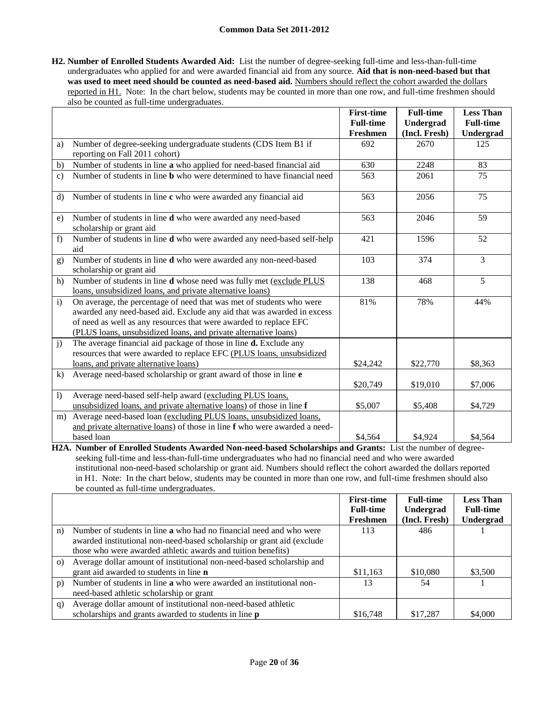**H2. Number of Enrolled Students Awarded Aid:** List the number of degree-seeking full-time and less-than-full-time undergraduates who applied for and were awarded financial aid from any source. **Aid that is non-need-based but that**  was used to meet need should be counted as need-based aid. Numbers should reflect the cohort awarded the dollars reported in H1. Note: In the chart below, students may be counted in more than one row, and full-time freshmen should also be counted as full-time undergraduates.

|                |                                                                                | <b>First-time</b> | <b>Full-time</b> | <b>Less Than</b> |
|----------------|--------------------------------------------------------------------------------|-------------------|------------------|------------------|
|                |                                                                                | <b>Full-time</b>  | <b>Undergrad</b> | <b>Full-time</b> |
|                |                                                                                | Freshmen          | (Incl. Fresh)    | Undergrad        |
| a)             | Number of degree-seeking undergraduate students (CDS Item B1 if                | 692               | 2670             | 125              |
|                | reporting on Fall 2011 cohort)                                                 |                   |                  |                  |
| b)             | Number of students in line a who applied for need-based financial aid          | 630               | 2248             | 83               |
| $\mathbf{c}$ ) | Number of students in line <b>b</b> who were determined to have financial need | 563               | 2061             | 75               |
|                |                                                                                |                   |                  |                  |
| $\mathbf{d}$   | Number of students in line c who were awarded any financial aid                | 563               | 2056             | 75               |
| e)             | Number of students in line d who were awarded any need-based                   | 563               | 2046             | 59               |
|                | scholarship or grant aid                                                       |                   |                  |                  |
| f)             | Number of students in line d who were awarded any need-based self-help         | 421               | 1596             | 52               |
|                | aid                                                                            |                   |                  |                  |
| g)             | Number of students in line d who were awarded any non-need-based               | 103               | 374              | $\overline{3}$   |
|                | scholarship or grant aid                                                       |                   |                  |                  |
| h)             | Number of students in line d whose need was fully met (exclude PLUS            | 138               | 468              | 5                |
|                | loans, unsubsidized loans, and private alternative loans)                      |                   |                  |                  |
| $\mathbf{i}$   | On average, the percentage of need that was met of students who were           | 81%               | 78%              | 44%              |
|                | awarded any need-based aid. Exclude any aid that was awarded in excess         |                   |                  |                  |
|                | of need as well as any resources that were awarded to replace EFC              |                   |                  |                  |
|                | (PLUS loans, unsubsidized loans, and private alternative loans)                |                   |                  |                  |
| $\overline{1}$ | The average financial aid package of those in line <b>d.</b> Exclude any       |                   |                  |                  |
|                | resources that were awarded to replace EFC (PLUS loans, unsubsidized           |                   |                  |                  |
|                | loans, and private alternative loans)                                          | \$24,242          | \$22,770         | \$8,363          |
| $\bf k$ )      | Average need-based scholarship or grant award of those in line e               |                   |                  |                  |
|                |                                                                                | \$20,749          | \$19,010         | \$7,006          |
| $\overline{1}$ | Average need-based self-help award (excluding PLUS loans,                      |                   |                  |                  |
|                | unsubsidized loans, and private alternative loans) of those in line f          | \$5,007           | \$5,408          | \$4,729          |
| m)             | Average need-based loan (excluding PLUS loans, unsubsidized loans,             |                   |                  |                  |
|                | and private alternative loans) of those in line f who were awarded a need-     |                   |                  |                  |
|                | based loan                                                                     | \$4.564           | \$4,924          | \$4,564          |

**H2A. Number of Enrolled Students Awarded Non-need-based Scholarships and Grants:** List the number of degreeseeking full-time and less-than-full-time undergraduates who had no financial need and who were awarded institutional non-need-based scholarship or grant aid. Numbers should reflect the cohort awarded the dollars reported in H1. Note: In the chart below, students may be counted in more than one row, and full-time freshmen should also be counted as full-time undergraduates.

|          |                                                                            | <b>First-time</b> | <b>Full-time</b> | <b>Less Than</b> |
|----------|----------------------------------------------------------------------------|-------------------|------------------|------------------|
|          |                                                                            | <b>Full-time</b>  | Undergrad        | <b>Full-time</b> |
|          |                                                                            | Freshmen          | (Incl. Fresh)    | Undergrad        |
| n)       | Number of students in line <b>a</b> who had no financial need and who were | 113               | 486              |                  |
|          | awarded institutional non-need-based scholarship or grant aid (exclude     |                   |                  |                  |
|          | those who were awarded athletic awards and tuition benefits)               |                   |                  |                  |
| $\Omega$ | Average dollar amount of institutional non-need-based scholarship and      |                   |                  |                  |
|          | grant aid awarded to students in line <b>n</b>                             | \$11,163          | \$10,080         | \$3,500          |
| p)       | Number of students in line a who were awarded an institutional non-        | 13                | 54               |                  |
|          | need-based athletic scholarship or grant                                   |                   |                  |                  |
| q)       | Average dollar amount of institutional non-need-based athletic             |                   |                  |                  |
|          | scholarships and grants awarded to students in line <b>p</b>               | \$16,748          | \$17,287         | \$4,000          |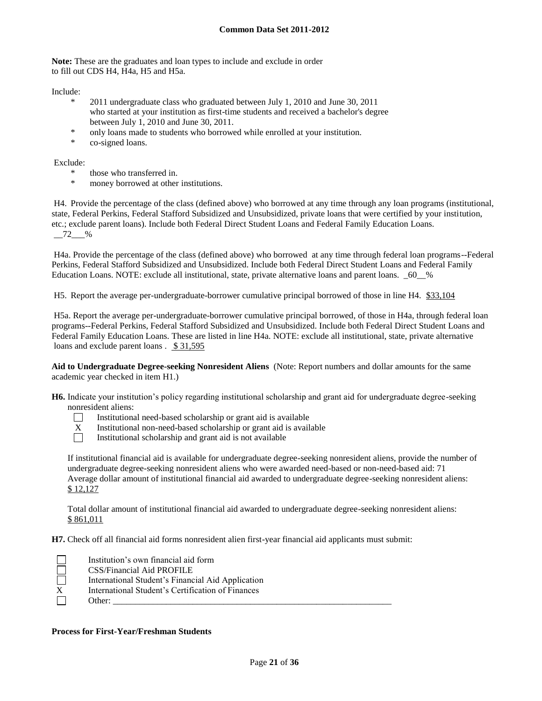**Note:** These are the graduates and loan types to include and exclude in order to fill out CDS H4, H4a, H5 and H5a.

Include:

- 2011 undergraduate class who graduated between July 1, 2010 and June 30, 2011 who started at your institution as first-time students and received a bachelor's degree between July 1, 2010 and June 30, 2011.
- \* only loans made to students who borrowed while enrolled at your institution.
- \* co-signed loans.

Exclude:

- \* those who transferred in.
- money borrowed at other institutions.

H4. Provide the percentage of the class (defined above) who borrowed at any time through any loan programs (institutional, state, Federal Perkins, Federal Stafford Subsidized and Unsubsidized, private loans that were certified by your institution, etc.; exclude parent loans). Include both Federal Direct Student Loans and Federal Family Education Loans.  $-72$  %

H4a. Provide the percentage of the class (defined above) who borrowed at any time through federal loan programs--Federal Perkins, Federal Stafford Subsidized and Unsubsidized. Include both Federal Direct Student Loans and Federal Family Education Loans. NOTE: exclude all institutional, state, private alternative loans and parent loans. \_60\_\_%

H5. Report the average per-undergraduate-borrower cumulative principal borrowed of those in line H4. \$33,104

H5a. Report the average per-undergraduate-borrower cumulative principal borrowed, of those in H4a, through federal loan programs--Federal Perkins, Federal Stafford Subsidized and Unsubsidized. Include both Federal Direct Student Loans and Federal Family Education Loans. These are listed in line H4a. NOTE: exclude all institutional, state, private alternative loans and exclude parent loans . \$ 31,595

**Aid to Undergraduate Degree-seeking Nonresident Aliens** (Note: Report numbers and dollar amounts for the same academic year checked in item H1.)

**H6.** Indicate your institution's policy regarding institutional scholarship and grant aid for undergraduate degree-seeking nonresident aliens:



Institutional need-based scholarship or grant aid is available

- $X$  Institutional non-need-based scholarship or grant aid is available<br>Institutional scholarship and grant aid is not available
	- Institutional scholarship and grant aid is not available

If institutional financial aid is available for undergraduate degree-seeking nonresident aliens, provide the number of undergraduate degree-seeking nonresident aliens who were awarded need-based or non-need-based aid: 71 Average dollar amount of institutional financial aid awarded to undergraduate degree-seeking nonresident aliens: \$ 12,127

Total dollar amount of institutional financial aid awarded to undergraduate degree-seeking nonresident aliens: \$ 861,011

**H7.** Check off all financial aid forms nonresident alien first-year financial aid applicants must submit:

|   | Institution's own financial aid form              |
|---|---------------------------------------------------|
|   | CSS/Financial Aid PROFILE                         |
|   | International Student's Financial Aid Application |
| X | International Student's Certification of Finances |
|   | Other:                                            |

#### **Process for First-Year/Freshman Students**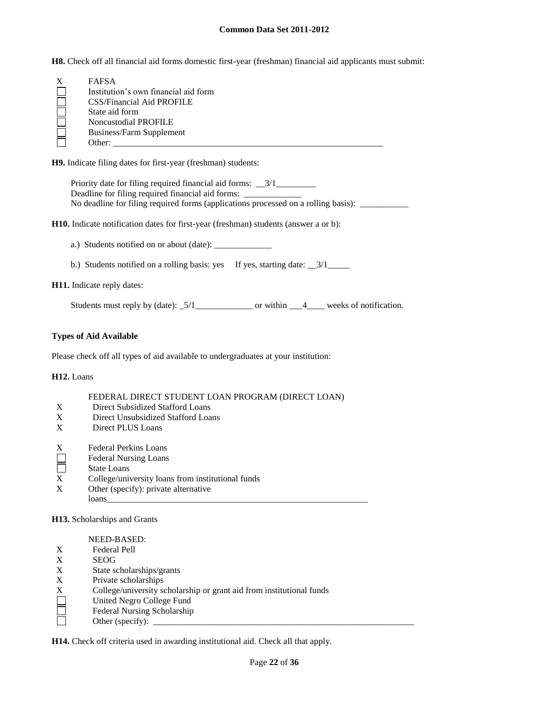**H8.** Check off all financial aid forms domestic first-year (freshman) financial aid applicants must submit:

| <b>FAFSA</b>                         |
|--------------------------------------|
| Institution's own financial aid form |
| <b>CSS/Financial Aid PROFILE</b>     |
| State aid form                       |
| <b>Noncustodial PROFILE</b>          |
| <b>Business/Farm Supplement</b>      |
| Other:                               |

**H9.** Indicate filing dates for first-year (freshman) students:

Priority date for filing required financial aid forms: \_\_3/1\_\_\_\_\_\_\_\_\_\_\_\_\_\_\_\_\_\_\_\_ Deadline for filing required financial aid forms: No deadline for filing required forms (applications processed on a rolling basis): \_\_\_\_\_\_\_\_\_\_\_\_\_\_\_\_

**H10.** Indicate notification dates for first-year (freshman) students (answer a or b):

a.) Students notified on or about (date): \_\_\_\_\_\_\_\_\_\_\_\_\_

b.) Students notified on a rolling basis: yes If yes, starting date:  $\frac{3}{1}$ 

**H11.** Indicate reply dates:

Students must reply by (date):  $\frac{5}{1}$  \_\_\_\_\_\_\_\_\_\_\_\_\_\_\_\_\_\_\_\_\_\_\_\_\_ or within \_\_\_4\_\_\_\_\_ weeks of notification.

#### **Types of Aid Available**

Please check off all types of aid available to undergraduates at your institution:

**H12.** Loans

#### FEDERAL DIRECT STUDENT LOAN PROGRAM (DIRECT LOAN)

- X Direct Subsidized Stafford Loans
- X Direct Unsubsidized Stafford Loans
- X Direct PLUS Loans
- 
- X Federal Perkins Loans<br>
Federal Nursing Loans<br>
State Loans Federal Nursing Loans
- State Loans
- X College/university loans from institutional funds
- X Other (specify): private alternative loans\_\_\_\_\_\_\_\_\_\_\_\_\_\_\_\_\_\_\_\_\_\_\_\_\_\_\_\_\_\_\_\_\_\_\_\_\_\_\_\_\_\_\_\_\_\_\_\_\_\_\_\_\_\_\_\_\_\_\_

**H13.** Scholarships and Grants

NEED-BASED: X Federal Pell<br>X SEOG **SEOG** X State scholarships/grants X Private scholarships X College/university scholarship or grant aid from institutional funds П United Negro College Fund П Federal Nursing Scholarship Other (specify):

**H14.** Check off criteria used in awarding institutional aid. Check all that apply.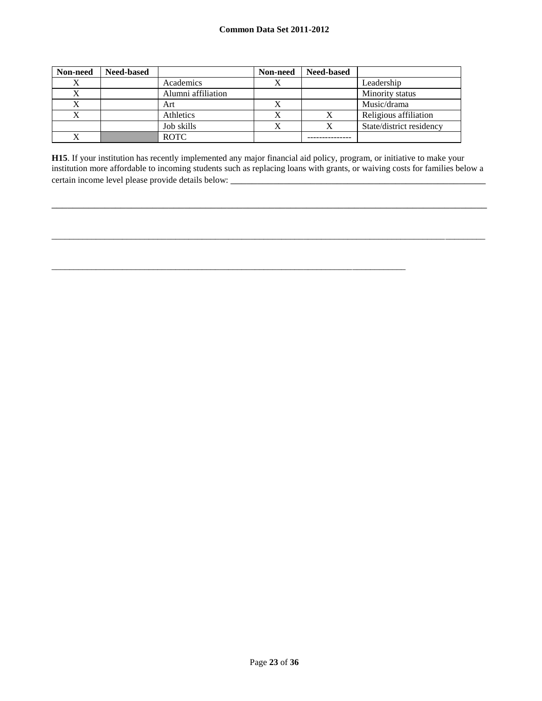| Non-need | <b>Need-based</b> |                    | Non-need | <b>Need-based</b> |                          |
|----------|-------------------|--------------------|----------|-------------------|--------------------------|
| Х        |                   | Academics          |          |                   | Leadership               |
| Λ        |                   | Alumni affiliation |          |                   | Minority status          |
| X        |                   | Art                |          |                   | Music/drama              |
|          |                   | Athletics          |          | Х                 | Religious affiliation    |
|          |                   | Job skills         |          | Х                 | State/district residency |
| v        |                   | <b>ROTC</b>        |          |                   |                          |

**H15**. If your institution has recently implemented any major financial aid policy, program, or initiative to make your institution more affordable to incoming students such as replacing loans with grants, or waiving costs for families below a certain income level please provide details below: \_\_\_\_\_\_\_\_\_\_\_\_\_\_\_\_\_\_\_\_\_\_\_\_\_\_\_\_\_\_

\_\_\_\_\_\_\_\_\_\_\_\_\_\_\_\_\_\_\_\_\_\_\_\_\_\_\_\_\_\_\_\_\_\_\_\_\_\_\_\_\_\_\_\_\_\_\_\_\_\_\_\_\_\_\_\_\_\_\_\_\_\_\_\_\_\_\_\_\_\_\_\_\_\_\_\_\_\_\_\_\_\_

 $\_$  ,  $\_$  ,  $\_$  ,  $\_$  ,  $\_$  ,  $\_$  ,  $\_$  ,  $\_$  ,  $\_$  ,  $\_$  ,  $\_$  ,  $\_$  ,  $\_$  ,  $\_$  ,  $\_$  ,  $\_$  ,  $\_$  ,  $\_$  ,  $\_$  ,  $\_$  ,  $\_$  ,  $\_$  ,  $\_$  ,  $\_$  ,  $\_$  ,  $\_$  ,  $\_$  ,  $\_$  ,  $\_$  ,  $\_$  ,  $\_$  ,  $\_$  ,  $\_$  ,  $\_$  ,  $\_$  ,  $\_$  ,  $\_$  ,

\_\_\_\_\_\_\_\_\_\_\_\_\_\_\_\_\_\_\_\_\_\_\_\_\_\_\_\_\_\_\_\_\_\_\_\_\_\_\_\_\_\_\_\_\_\_\_\_\_\_\_\_\_\_\_\_\_\_\_\_\_\_\_\_\_\_\_\_\_\_\_\_\_\_\_\_\_\_\_\_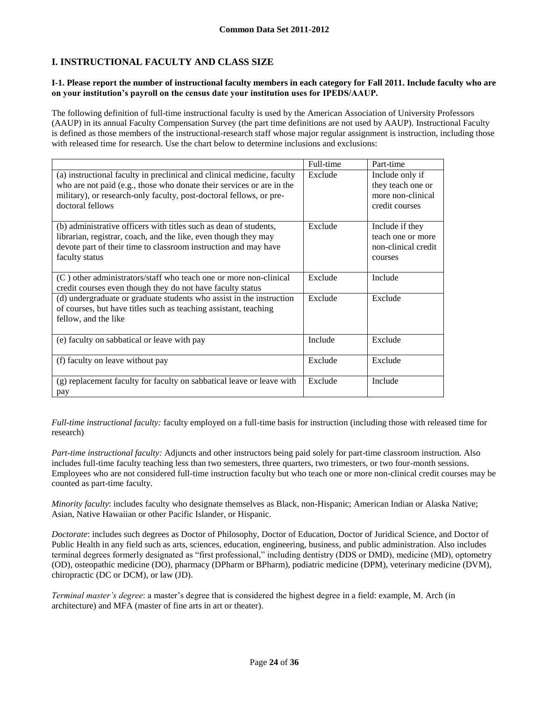# **I. INSTRUCTIONAL FACULTY AND CLASS SIZE**

### **I-1. Please report the number of instructional faculty members in each category for Fall 2011. Include faculty who are on your institution's payroll on the census date your institution uses for IPEDS/AAUP.**

The following definition of full-time instructional faculty is used by the American Association of University Professors (AAUP) in its annual Faculty Compensation Survey (the part time definitions are not used by AAUP). Instructional Faculty is defined as those members of the instructional-research staff whose major regular assignment is instruction, including those with released time for research. Use the chart below to determine inclusions and exclusions:

|                                                                                                                                                                                                                                             | Full-time | Part-time                                                                   |
|---------------------------------------------------------------------------------------------------------------------------------------------------------------------------------------------------------------------------------------------|-----------|-----------------------------------------------------------------------------|
| (a) instructional faculty in preclinical and clinical medicine, faculty<br>who are not paid (e.g., those who donate their services or are in the<br>military), or research-only faculty, post-doctoral fellows, or pre-<br>doctoral fellows | Exclude   | Include only if<br>they teach one or<br>more non-clinical<br>credit courses |
| (b) administrative officers with titles such as dean of students,<br>librarian, registrar, coach, and the like, even though they may<br>devote part of their time to classroom instruction and may have<br>faculty status                   | Exclude   | Include if they<br>teach one or more<br>non-clinical credit<br>courses      |
| (C) other administrators/staff who teach one or more non-clinical<br>credit courses even though they do not have faculty status                                                                                                             | Exclude   | Include                                                                     |
| (d) undergraduate or graduate students who assist in the instruction<br>of courses, but have titles such as teaching assistant, teaching<br>fellow, and the like                                                                            | Exclude   | Exclude                                                                     |
| (e) faculty on sabbatical or leave with pay                                                                                                                                                                                                 | Include   | Exclude                                                                     |
| (f) faculty on leave without pay                                                                                                                                                                                                            | Exclude   | Exclude                                                                     |
| (g) replacement faculty for faculty on sabbatical leave or leave with<br>pay                                                                                                                                                                | Exclude   | Include                                                                     |

*Full-time instructional faculty:* faculty employed on a full-time basis for instruction (including those with released time for research)

*Part-time instructional faculty:* Adjuncts and other instructors being paid solely for part-time classroom instruction. Also includes full-time faculty teaching less than two semesters, three quarters, two trimesters, or two four-month sessions. Employees who are not considered full-time instruction faculty but who teach one or more non-clinical credit courses may be counted as part-time faculty.

*Minority faculty*: includes faculty who designate themselves as Black, non-Hispanic; American Indian or Alaska Native; Asian, Native Hawaiian or other Pacific Islander, or Hispanic.

*Doctorate*: includes such degrees as Doctor of Philosophy, Doctor of Education, Doctor of Juridical Science, and Doctor of Public Health in any field such as arts, sciences, education, engineering, business, and public administration. Also includes terminal degrees formerly designated as "first professional," including dentistry (DDS or DMD), medicine (MD), optometry (OD), osteopathic medicine (DO), pharmacy (DPharm or BPharm), podiatric medicine (DPM), veterinary medicine (DVM), chiropractic (DC or DCM), or law (JD).

*Terminal master's degree*: a master's degree that is considered the highest degree in a field: example, M. Arch (in architecture) and MFA (master of fine arts in art or theater).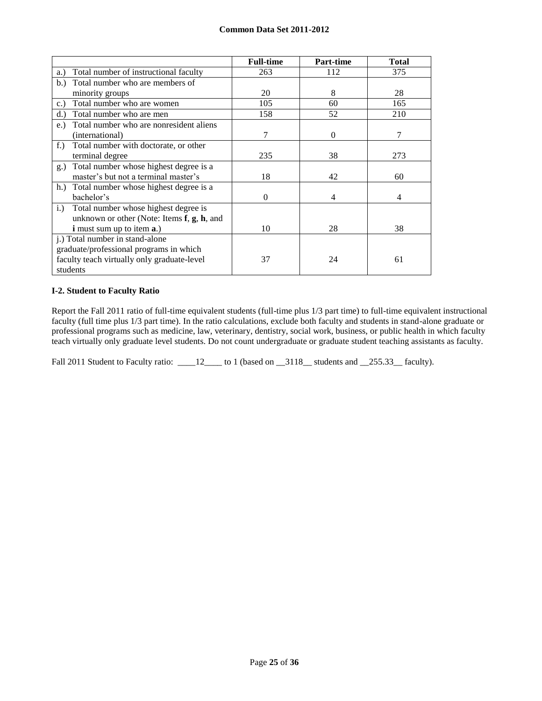|                                                     | <b>Full-time</b> | <b>Part-time</b> | <b>Total</b> |
|-----------------------------------------------------|------------------|------------------|--------------|
| Total number of instructional faculty<br>a.)        | 263              | 112              | 375          |
| Total number who are members of<br>b.)              |                  |                  |              |
| minority groups                                     | 20               | 8                | 28           |
| Total number who are women<br>c.                    | 105              | 60               | 165          |
| Total number who are men<br>d.                      | 158              | 52               | 210          |
| Total number who are nonresident aliens<br>$e$ .    |                  |                  |              |
| (international)                                     | 7                | $\Omega$         | 7            |
| $f$ .)<br>Total number with doctorate, or other     |                  |                  |              |
| terminal degree                                     | 235              | 38               | 273          |
| Total number whose highest degree is a<br>g.)       |                  |                  |              |
| master's but not a terminal master's                | 18               | 42               | 60           |
| h.) Total number whose highest degree is a          |                  |                  |              |
| bachelor's                                          | $\Omega$         | 4                | 4            |
| Total number whose highest degree is<br>$i$ .       |                  |                  |              |
| unknown or other (Note: Items $f$ , $g$ , $h$ , and |                  |                  |              |
| <b>i</b> must sum up to item <b>a</b> .)            | 10               | 28               | 38           |
| j.) Total number in stand-alone                     |                  |                  |              |
| graduate/professional programs in which             |                  |                  |              |
| faculty teach virtually only graduate-level         | 37               | 24               | 61           |
| students                                            |                  |                  |              |

## **I-2. Student to Faculty Ratio**

Report the Fall 2011 ratio of full-time equivalent students (full-time plus 1/3 part time) to full-time equivalent instructional faculty (full time plus 1/3 part time). In the ratio calculations, exclude both faculty and students in stand-alone graduate or professional programs such as medicine, law, veterinary, dentistry, social work, business, or public health in which faculty teach virtually only graduate level students. Do not count undergraduate or graduate student teaching assistants as faculty.

Fall 2011 Student to Faculty ratio: \_\_\_\_12\_\_\_\_ to 1 (based on \_\_3118\_\_ students and \_\_255.33\_\_ faculty).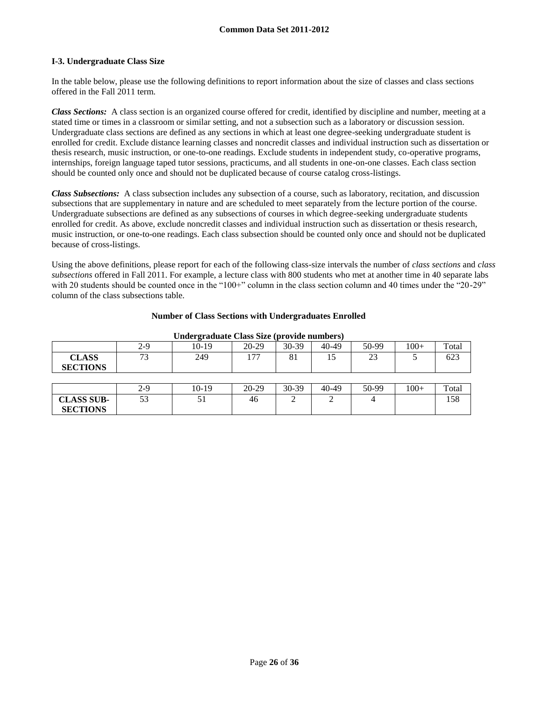## **I-3. Undergraduate Class Size**

In the table below, please use the following definitions to report information about the size of classes and class sections offered in the Fall 2011 term.

*Class Sections:* A class section is an organized course offered for credit, identified by discipline and number, meeting at a stated time or times in a classroom or similar setting, and not a subsection such as a laboratory or discussion session. Undergraduate class sections are defined as any sections in which at least one degree-seeking undergraduate student is enrolled for credit. Exclude distance learning classes and noncredit classes and individual instruction such as dissertation or thesis research, music instruction, or one-to-one readings. Exclude students in independent study, co-operative programs, internships, foreign language taped tutor sessions, practicums, and all students in one-on-one classes. Each class section should be counted only once and should not be duplicated because of course catalog cross-listings.

*Class Subsections:* A class subsection includes any subsection of a course, such as laboratory, recitation, and discussion subsections that are supplementary in nature and are scheduled to meet separately from the lecture portion of the course. Undergraduate subsections are defined as any subsections of courses in which degree-seeking undergraduate students enrolled for credit. As above, exclude noncredit classes and individual instruction such as dissertation or thesis research, music instruction, or one-to-one readings. Each class subsection should be counted only once and should not be duplicated because of cross-listings.

Using the above definitions, please report for each of the following class-size intervals the number of *class sections* and *class subsections* offered in Fall 2011. For example, a lecture class with 800 students who met at another time in 40 separate labs with 20 students should be counted once in the "100+" column in the class section column and 40 times under the "20-29" column of the class subsections table.

| Undergraduate Class Size (provide numbers) |       |         |         |       |       |       |        |       |
|--------------------------------------------|-------|---------|---------|-------|-------|-------|--------|-------|
|                                            | $2-9$ | $10-19$ | $20-29$ | 30-39 | 40-49 | 50-99 | $100+$ | Total |
| <b>CLASS</b><br><b>SECTIONS</b>            | 73    | 249     | 177     | 81    | 15    | 23    |        | 623   |
|                                            |       |         |         |       |       |       |        |       |
|                                            | 2-9   | $10-19$ | $20-29$ | 30-39 | 40-49 | 50-99 | $100+$ | Total |
| <b>CLASS SUB-</b><br><b>SECTIONS</b>       | 53    | 51      | 46      |       | ◠     |       |        | 158   |

#### **Number of Class Sections with Undergraduates Enrolled**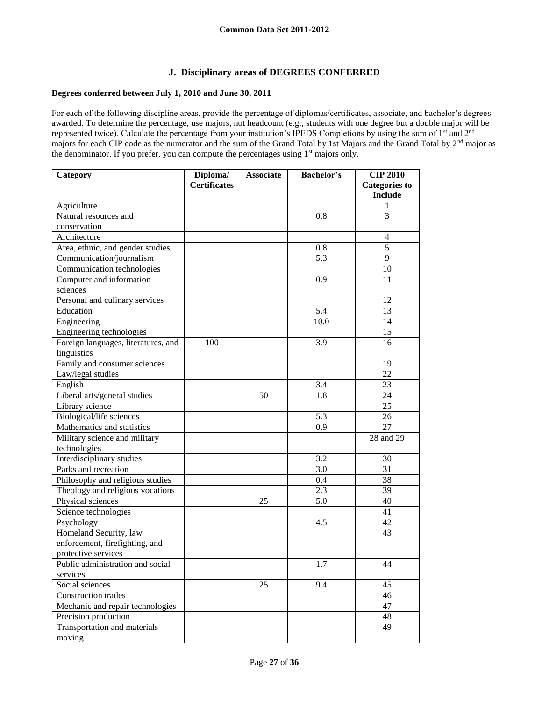# **J. Disciplinary areas of DEGREES CONFERRED**

## **Degrees conferred between July 1, 2010 and June 30, 2011**

For each of the following discipline areas, provide the percentage of diplomas/certificates, associate, and bachelor's degrees awarded. To determine the percentage, use majors, not headcount (e.g., students with one degree but a double major will be represented twice). Calculate the percentage from your institution's IPEDS Completions by using the sum of 1<sup>st</sup> and 2<sup>nd</sup> majors for each CIP code as the numerator and the sum of the Grand Total by 1st Majors and the Grand Total by 2<sup>nd</sup> major as the denominator. If you prefer, you can compute the percentages using  $1<sup>st</sup>$  majors only.

| Category                            | Diploma/            | <b>Associate</b> | <b>Bachelor's</b> | <b>CIP 2010</b>      |
|-------------------------------------|---------------------|------------------|-------------------|----------------------|
|                                     | <b>Certificates</b> |                  |                   | <b>Categories to</b> |
|                                     |                     |                  |                   | <b>Include</b>       |
| Agriculture                         |                     |                  |                   |                      |
| Natural resources and               |                     |                  | 0.8               | 3                    |
| conservation                        |                     |                  |                   |                      |
| Architecture                        |                     |                  |                   | $\overline{4}$       |
| Area, ethnic, and gender studies    |                     |                  | 0.8               | $\overline{5}$       |
| Communication/journalism            |                     |                  | 5.3               | $\overline{9}$       |
| Communication technologies          |                     |                  |                   | 10                   |
| Computer and information            |                     |                  | 0.9               | 11                   |
| sciences                            |                     |                  |                   |                      |
| Personal and culinary services      |                     |                  |                   | 12                   |
| Education                           |                     |                  | 5.4               | 13                   |
| Engineering                         |                     |                  | 10.0              | 14                   |
| Engineering technologies            |                     |                  |                   | 15                   |
| Foreign languages, literatures, and | 100                 |                  | 3.9               | 16                   |
| linguistics                         |                     |                  |                   |                      |
| Family and consumer sciences        |                     |                  |                   | 19                   |
| Law/legal studies                   |                     |                  |                   | $\overline{22}$      |
| English                             |                     |                  | 3.4               | 23                   |
| Liberal arts/general studies        |                     | $\overline{50}$  | 1.8               | 24                   |
| Library science                     |                     |                  |                   | 25                   |
| Biological/life sciences            |                     |                  | 5.3               | 26                   |
| Mathematics and statistics          |                     |                  | 0.9               | $\overline{27}$      |
| Military science and military       |                     |                  |                   | 28 and 29            |
| technologies                        |                     |                  |                   |                      |
| Interdisciplinary studies           |                     |                  | 3.2               | 30                   |
| Parks and recreation                |                     |                  | 3.0               | 31                   |
| Philosophy and religious studies    |                     |                  | 0.4               | 38                   |
| Theology and religious vocations    |                     |                  | 2.3               | 39                   |
| Physical sciences                   |                     | 25               | 5.0               | 40                   |
| Science technologies                |                     |                  |                   | 41                   |
| Psychology                          |                     |                  | 4.5               | 42                   |
| Homeland Security, law              |                     |                  |                   | 43                   |
| enforcement, firefighting, and      |                     |                  |                   |                      |
| protective services                 |                     |                  |                   |                      |
| Public administration and social    |                     |                  | 1.7               | 44                   |
| services                            |                     |                  |                   |                      |
| Social sciences                     |                     | 25               | 9.4               | 45                   |
| Construction trades                 |                     |                  |                   | 46                   |
| Mechanic and repair technologies    |                     |                  |                   | 47                   |
| Precision production                |                     |                  |                   | 48                   |
| Transportation and materials        |                     |                  |                   | 49                   |
| moving                              |                     |                  |                   |                      |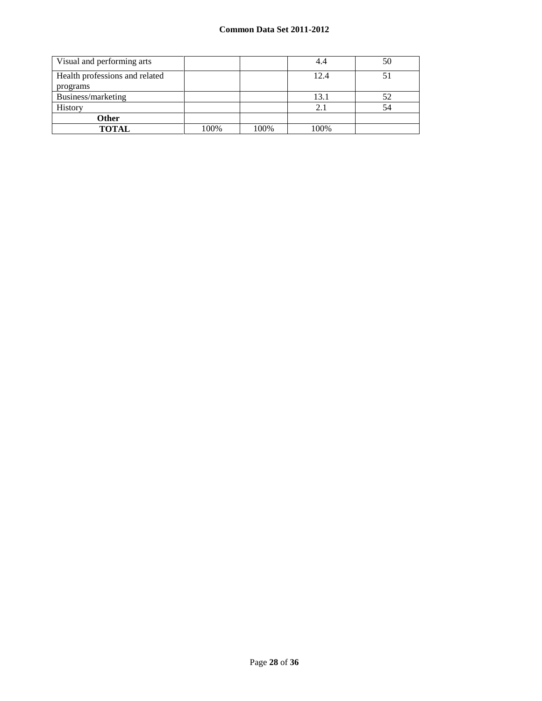| Visual and performing arts                 |      |      | 4.4  | 50 |
|--------------------------------------------|------|------|------|----|
| Health professions and related<br>programs |      |      | 12.4 |    |
| Business/marketing                         |      |      | 13.1 | 52 |
| <b>History</b>                             |      |      | 2.1  | 54 |
| Other                                      |      |      |      |    |
| <b>TOTAL</b>                               | 100% | 100% | 100% |    |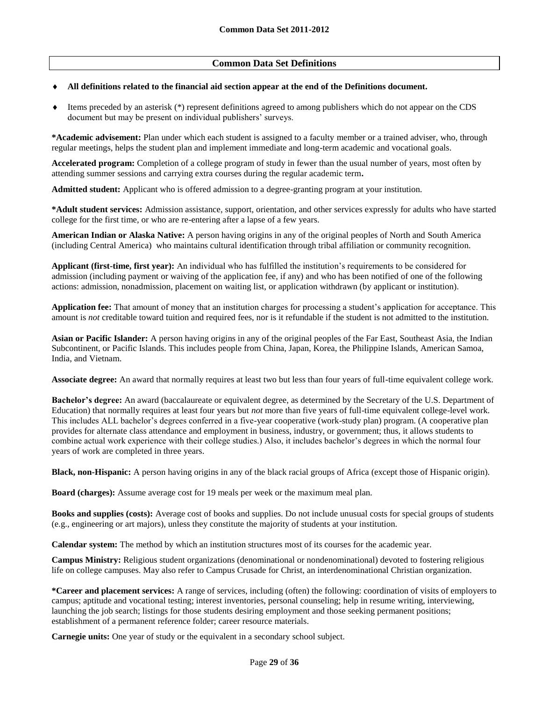## **Common Data Set Definitions**

#### **All definitions related to the financial aid section appear at the end of the Definitions document.**

 Items preceded by an asterisk (\*) represent definitions agreed to among publishers which do not appear on the CDS document but may be present on individual publishers' surveys.

**\*Academic advisement:** Plan under which each student is assigned to a faculty member or a trained adviser, who, through regular meetings, helps the student plan and implement immediate and long-term academic and vocational goals.

**Accelerated program:** Completion of a college program of study in fewer than the usual number of years, most often by attending summer sessions and carrying extra courses during the regular academic term**.**

**Admitted student:** Applicant who is offered admission to a degree-granting program at your institution.

**\*Adult student services:** Admission assistance, support, orientation, and other services expressly for adults who have started college for the first time, or who are re-entering after a lapse of a few years.

**American Indian or Alaska Native:** A person having origins in any of the original peoples of North and South America (including Central America) who maintains cultural identification through tribal affiliation or community recognition.

**Applicant (first-time, first year):** An individual who has fulfilled the institution's requirements to be considered for admission (including payment or waiving of the application fee, if any) and who has been notified of one of the following actions: admission, nonadmission, placement on waiting list, or application withdrawn (by applicant or institution).

**Application fee:** That amount of money that an institution charges for processing a student's application for acceptance. This amount is *not* creditable toward tuition and required fees, nor is it refundable if the student is not admitted to the institution.

**Asian or Pacific Islander:** A person having origins in any of the original peoples of the Far East, Southeast Asia, the Indian Subcontinent, or Pacific Islands. This includes people from China, Japan, Korea, the Philippine Islands, American Samoa, India, and Vietnam.

**Associate degree:** An award that normally requires at least two but less than four years of full-time equivalent college work.

**Bachelor's degree:** An award (baccalaureate or equivalent degree, as determined by the Secretary of the U.S. Department of Education) that normally requires at least four years but *not* more than five years of full-time equivalent college-level work. This includes ALL bachelor's degrees conferred in a five-year cooperative (work-study plan) program. (A cooperative plan provides for alternate class attendance and employment in business, industry, or government; thus, it allows students to combine actual work experience with their college studies.) Also, it includes bachelor's degrees in which the normal four years of work are completed in three years.

**Black, non-Hispanic:** A person having origins in any of the black racial groups of Africa (except those of Hispanic origin).

**Board (charges):** Assume average cost for 19 meals per week or the maximum meal plan.

**Books and supplies (costs):** Average cost of books and supplies. Do not include unusual costs for special groups of students (e.g., engineering or art majors), unless they constitute the majority of students at your institution.

**Calendar system:** The method by which an institution structures most of its courses for the academic year.

**Campus Ministry:** Religious student organizations (denominational or nondenominational) devoted to fostering religious life on college campuses. May also refer to Campus Crusade for Christ, an interdenominational Christian organization.

**\*Career and placement services:** A range of services, including (often) the following: coordination of visits of employers to campus; aptitude and vocational testing; interest inventories, personal counseling; help in resume writing, interviewing, launching the job search; listings for those students desiring employment and those seeking permanent positions; establishment of a permanent reference folder; career resource materials.

**Carnegie units:** One year of study or the equivalent in a secondary school subject.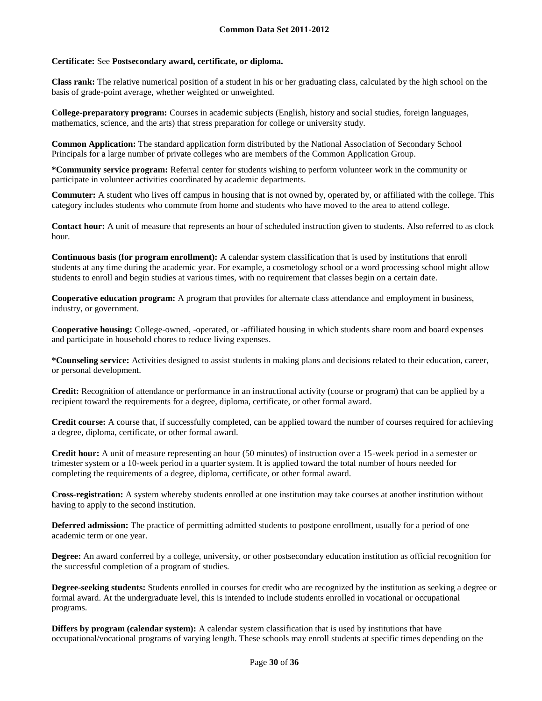## **Certificate:** See **Postsecondary award, certificate, or diploma.**

**Class rank:** The relative numerical position of a student in his or her graduating class, calculated by the high school on the basis of grade-point average, whether weighted or unweighted.

**College-preparatory program:** Courses in academic subjects (English, history and social studies, foreign languages, mathematics, science, and the arts) that stress preparation for college or university study.

**Common Application:** The standard application form distributed by the National Association of Secondary School Principals for a large number of private colleges who are members of the Common Application Group.

**\*Community service program:** Referral center for students wishing to perform volunteer work in the community or participate in volunteer activities coordinated by academic departments.

**Commuter:** A student who lives off campus in housing that is not owned by, operated by, or affiliated with the college. This category includes students who commute from home and students who have moved to the area to attend college.

**Contact hour:** A unit of measure that represents an hour of scheduled instruction given to students. Also referred to as clock hour.

**Continuous basis (for program enrollment):** A calendar system classification that is used by institutions that enroll students at any time during the academic year. For example, a cosmetology school or a word processing school might allow students to enroll and begin studies at various times, with no requirement that classes begin on a certain date.

**Cooperative education program:** A program that provides for alternate class attendance and employment in business, industry, or government.

**Cooperative housing:** College-owned, -operated, or -affiliated housing in which students share room and board expenses and participate in household chores to reduce living expenses.

**\*Counseling service:** Activities designed to assist students in making plans and decisions related to their education, career, or personal development.

**Credit:** Recognition of attendance or performance in an instructional activity (course or program) that can be applied by a recipient toward the requirements for a degree, diploma, certificate, or other formal award.

**Credit course:** A course that, if successfully completed, can be applied toward the number of courses required for achieving a degree, diploma, certificate, or other formal award.

**Credit hour:** A unit of measure representing an hour (50 minutes) of instruction over a 15-week period in a semester or trimester system or a 10-week period in a quarter system. It is applied toward the total number of hours needed for completing the requirements of a degree, diploma, certificate, or other formal award.

**Cross-registration:** A system whereby students enrolled at one institution may take courses at another institution without having to apply to the second institution.

**Deferred admission:** The practice of permitting admitted students to postpone enrollment, usually for a period of one academic term or one year.

**Degree:** An award conferred by a college, university, or other postsecondary education institution as official recognition for the successful completion of a program of studies.

**Degree-seeking students:** Students enrolled in courses for credit who are recognized by the institution as seeking a degree or formal award. At the undergraduate level, this is intended to include students enrolled in vocational or occupational programs.

**Differs by program (calendar system):** A calendar system classification that is used by institutions that have occupational/vocational programs of varying length. These schools may enroll students at specific times depending on the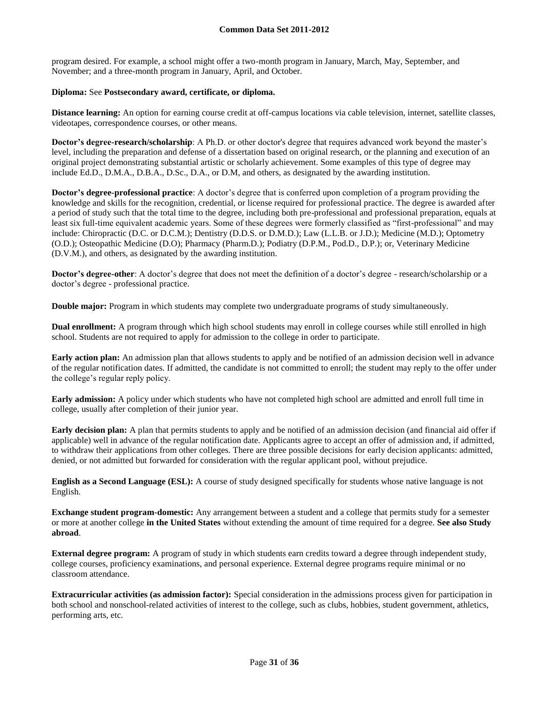program desired. For example, a school might offer a two-month program in January, March, May, September, and November; and a three-month program in January, April, and October.

### **Diploma:** See **Postsecondary award, certificate, or diploma.**

**Distance learning:** An option for earning course credit at off-campus locations via cable television, internet, satellite classes, videotapes, correspondence courses, or other means.

**Doctor's degree-research/scholarship**: A Ph.D. or other doctor's degree that requires advanced work beyond the master's level, including the preparation and defense of a dissertation based on original research, or the planning and execution of an original project demonstrating substantial artistic or scholarly achievement. Some examples of this type of degree may include Ed.D., D.M.A., D.B.A., D.Sc., D.A., or D.M, and others, as designated by the awarding institution.

**Doctor's degree-professional practice**: A doctor's degree that is conferred upon completion of a program providing the knowledge and skills for the recognition, credential, or license required for professional practice. The degree is awarded after a period of study such that the total time to the degree, including both pre-professional and professional preparation, equals at least six full-time equivalent academic years. Some of these degrees were formerly classified as "first-professional" and may include: Chiropractic (D.C. or D.C.M.); Dentistry (D.D.S. or D.M.D.); Law (L.L.B. or J.D.); Medicine (M.D.); Optometry (O.D.); Osteopathic Medicine (D.O); Pharmacy (Pharm.D.); Podiatry (D.P.M., Pod.D., D.P.); or, Veterinary Medicine (D.V.M.), and others, as designated by the awarding institution.

**Doctor's degree-other**: A doctor's degree that does not meet the definition of a doctor's degree - research/scholarship or a doctor's degree - professional practice.

**Double major:** Program in which students may complete two undergraduate programs of study simultaneously.

**Dual enrollment:** A program through which high school students may enroll in college courses while still enrolled in high school. Students are not required to apply for admission to the college in order to participate.

**Early action plan:** An admission plan that allows students to apply and be notified of an admission decision well in advance of the regular notification dates. If admitted, the candidate is not committed to enroll; the student may reply to the offer under the college's regular reply policy.

**Early admission:** A policy under which students who have not completed high school are admitted and enroll full time in college, usually after completion of their junior year.

**Early decision plan:** A plan that permits students to apply and be notified of an admission decision (and financial aid offer if applicable) well in advance of the regular notification date. Applicants agree to accept an offer of admission and, if admitted, to withdraw their applications from other colleges. There are three possible decisions for early decision applicants: admitted, denied, or not admitted but forwarded for consideration with the regular applicant pool, without prejudice.

**English as a Second Language (ESL):** A course of study designed specifically for students whose native language is not English.

**Exchange student program-domestic:** Any arrangement between a student and a college that permits study for a semester or more at another college **in the United States** without extending the amount of time required for a degree. **See also Study abroad**.

**External degree program:** A program of study in which students earn credits toward a degree through independent study, college courses, proficiency examinations, and personal experience. External degree programs require minimal or no classroom attendance.

**Extracurricular activities (as admission factor):** Special consideration in the admissions process given for participation in both school and nonschool-related activities of interest to the college, such as clubs, hobbies, student government, athletics, performing arts, etc.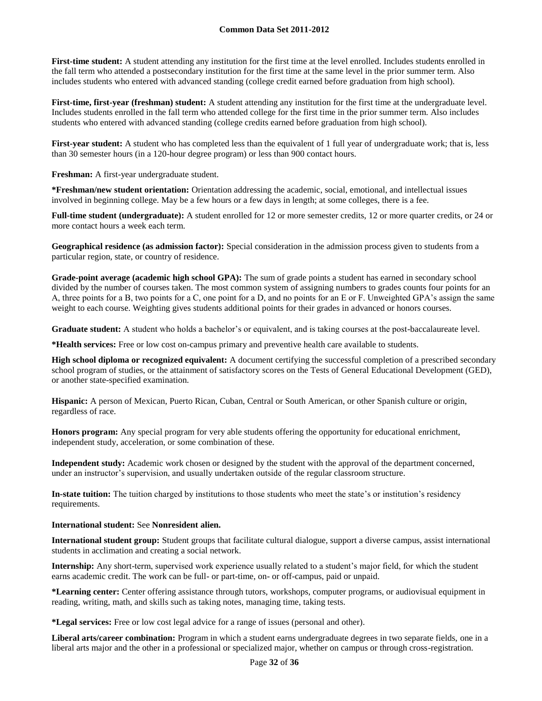**First-time student:** A student attending any institution for the first time at the level enrolled. Includes students enrolled in the fall term who attended a postsecondary institution for the first time at the same level in the prior summer term. Also includes students who entered with advanced standing (college credit earned before graduation from high school).

**First-time, first-year (freshman) student:** A student attending any institution for the first time at the undergraduate level. Includes students enrolled in the fall term who attended college for the first time in the prior summer term. Also includes students who entered with advanced standing (college credits earned before graduation from high school).

**First-year student:** A student who has completed less than the equivalent of 1 full year of undergraduate work; that is, less than 30 semester hours (in a 120-hour degree program) or less than 900 contact hours.

**Freshman:** A first-year undergraduate student.

**\*Freshman/new student orientation:** Orientation addressing the academic, social, emotional, and intellectual issues involved in beginning college. May be a few hours or a few days in length; at some colleges, there is a fee.

**Full-time student (undergraduate):** A student enrolled for 12 or more semester credits, 12 or more quarter credits, or 24 or more contact hours a week each term.

**Geographical residence (as admission factor):** Special consideration in the admission process given to students from a particular region, state, or country of residence.

**Grade-point average (academic high school GPA):** The sum of grade points a student has earned in secondary school divided by the number of courses taken. The most common system of assigning numbers to grades counts four points for an A, three points for a B, two points for a C, one point for a D, and no points for an E or F. Unweighted GPA's assign the same weight to each course. Weighting gives students additional points for their grades in advanced or honors courses.

**Graduate student:** A student who holds a bachelor's or equivalent, and is taking courses at the post-baccalaureate level.

**\*Health services:** Free or low cost on-campus primary and preventive health care available to students.

**High school diploma or recognized equivalent:** A document certifying the successful completion of a prescribed secondary school program of studies, or the attainment of satisfactory scores on the Tests of General Educational Development (GED), or another state-specified examination.

**Hispanic:** A person of Mexican, Puerto Rican, Cuban, Central or South American, or other Spanish culture or origin, regardless of race.

**Honors program:** Any special program for very able students offering the opportunity for educational enrichment, independent study, acceleration, or some combination of these.

**Independent study:** Academic work chosen or designed by the student with the approval of the department concerned, under an instructor's supervision, and usually undertaken outside of the regular classroom structure.

**In-state tuition:** The tuition charged by institutions to those students who meet the state's or institution's residency requirements.

#### **International student:** See **Nonresident alien.**

**International student group:** Student groups that facilitate cultural dialogue, support a diverse campus, assist international students in acclimation and creating a social network.

**Internship:** Any short-term, supervised work experience usually related to a student's major field, for which the student earns academic credit. The work can be full- or part-time, on- or off-campus, paid or unpaid.

**\*Learning center:** Center offering assistance through tutors, workshops, computer programs, or audiovisual equipment in reading, writing, math, and skills such as taking notes, managing time, taking tests.

**\*Legal services:** Free or low cost legal advice for a range of issues (personal and other).

**Liberal arts/career combination:** Program in which a student earns undergraduate degrees in two separate fields, one in a liberal arts major and the other in a professional or specialized major, whether on campus or through cross-registration.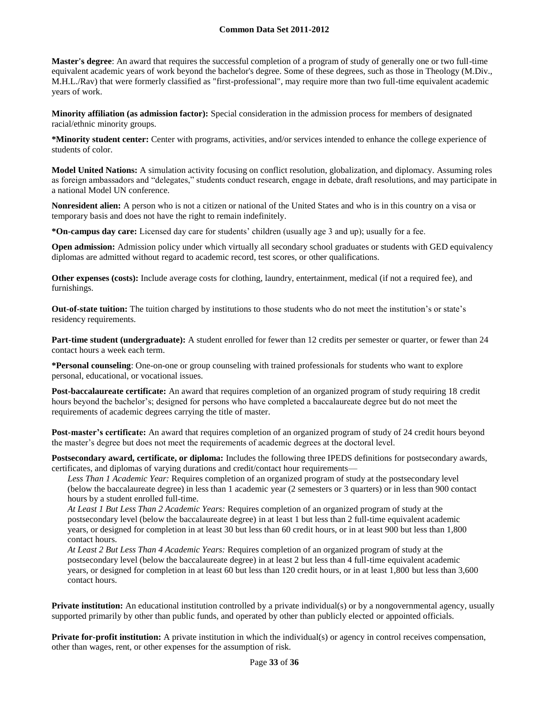**Master's degree**: An award that requires the successful completion of a program of study of generally one or two full-time equivalent academic years of work beyond the bachelor's degree. Some of these degrees, such as those in Theology (M.Div., M.H.L./Rav) that were formerly classified as "first-professional", may require more than two full-time equivalent academic years of work.

**Minority affiliation (as admission factor):** Special consideration in the admission process for members of designated racial/ethnic minority groups.

**\*Minority student center:** Center with programs, activities, and/or services intended to enhance the college experience of students of color.

**Model United Nations:** A simulation activity focusing on conflict resolution, globalization, and diplomacy. Assuming roles as foreign ambassadors and "delegates," students conduct research, engage in debate, draft resolutions, and may participate in a national Model UN conference.

**Nonresident alien:** A person who is not a citizen or national of the United States and who is in this country on a visa or temporary basis and does not have the right to remain indefinitely.

**\*On-campus day care:** Licensed day care for students' children (usually age 3 and up); usually for a fee.

**Open admission:** Admission policy under which virtually all secondary school graduates or students with GED equivalency diplomas are admitted without regard to academic record, test scores, or other qualifications.

**Other expenses (costs):** Include average costs for clothing, laundry, entertainment, medical (if not a required fee), and furnishings.

**Out-of-state tuition:** The tuition charged by institutions to those students who do not meet the institution's or state's residency requirements.

**Part-time student (undergraduate):** A student enrolled for fewer than 12 credits per semester or quarter, or fewer than 24 contact hours a week each term.

**\*Personal counseling**: One-on-one or group counseling with trained professionals for students who want to explore personal, educational, or vocational issues.

**Post-baccalaureate certificate:** An award that requires completion of an organized program of study requiring 18 credit hours beyond the bachelor's; designed for persons who have completed a baccalaureate degree but do not meet the requirements of academic degrees carrying the title of master.

**Post-master's certificate:** An award that requires completion of an organized program of study of 24 credit hours beyond the master's degree but does not meet the requirements of academic degrees at the doctoral level.

**Postsecondary award, certificate, or diploma:** Includes the following three IPEDS definitions for postsecondary awards, certificates, and diplomas of varying durations and credit/contact hour requirements—

*Less Than 1 Academic Year:* Requires completion of an organized program of study at the postsecondary level (below the baccalaureate degree) in less than 1 academic year (2 semesters or 3 quarters) or in less than 900 contact hours by a student enrolled full-time.

*At Least 1 But Less Than 2 Academic Years:* Requires completion of an organized program of study at the postsecondary level (below the baccalaureate degree) in at least 1 but less than 2 full-time equivalent academic years, or designed for completion in at least 30 but less than 60 credit hours, or in at least 900 but less than 1,800 contact hours.

*At Least 2 But Less Than 4 Academic Years:* Requires completion of an organized program of study at the postsecondary level (below the baccalaureate degree) in at least 2 but less than 4 full-time equivalent academic years, or designed for completion in at least 60 but less than 120 credit hours, or in at least 1,800 but less than 3,600 contact hours.

**Private institution:** An educational institution controlled by a private individual(s) or by a nongovernmental agency, usually supported primarily by other than public funds, and operated by other than publicly elected or appointed officials.

**Private for-profit institution:** A private institution in which the individual(s) or agency in control receives compensation, other than wages, rent, or other expenses for the assumption of risk.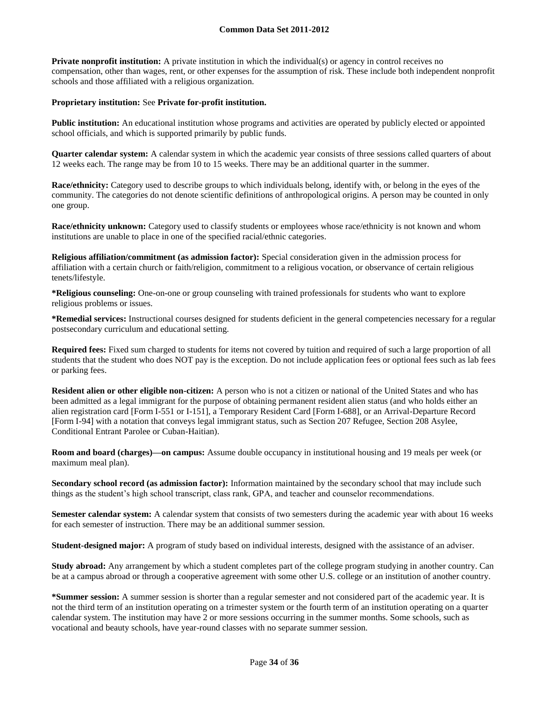**Private nonprofit institution:** A private institution in which the individual(s) or agency in control receives no compensation, other than wages, rent, or other expenses for the assumption of risk. These include both independent nonprofit schools and those affiliated with a religious organization.

#### **Proprietary institution:** See **Private for-profit institution.**

**Public institution:** An educational institution whose programs and activities are operated by publicly elected or appointed school officials, and which is supported primarily by public funds.

**Quarter calendar system:** A calendar system in which the academic year consists of three sessions called quarters of about 12 weeks each. The range may be from 10 to 15 weeks. There may be an additional quarter in the summer.

**Race/ethnicity:** Category used to describe groups to which individuals belong, identify with, or belong in the eyes of the community. The categories do not denote scientific definitions of anthropological origins. A person may be counted in only one group.

**Race/ethnicity unknown:** Category used to classify students or employees whose race/ethnicity is not known and whom institutions are unable to place in one of the specified racial/ethnic categories.

**Religious affiliation/commitment (as admission factor):** Special consideration given in the admission process for affiliation with a certain church or faith/religion, commitment to a religious vocation, or observance of certain religious tenets/lifestyle.

**\*Religious counseling:** One-on-one or group counseling with trained professionals for students who want to explore religious problems or issues.

**\*Remedial services:** Instructional courses designed for students deficient in the general competencies necessary for a regular postsecondary curriculum and educational setting.

**Required fees:** Fixed sum charged to students for items not covered by tuition and required of such a large proportion of all students that the student who does NOT pay is the exception. Do not include application fees or optional fees such as lab fees or parking fees.

**Resident alien or other eligible non-citizen:** A person who is not a citizen or national of the United States and who has been admitted as a legal immigrant for the purpose of obtaining permanent resident alien status (and who holds either an alien registration card [Form I-551 or I-151], a Temporary Resident Card [Form I-688], or an Arrival-Departure Record [Form I-94] with a notation that conveys legal immigrant status, such as Section 207 Refugee, Section 208 Asylee, Conditional Entrant Parolee or Cuban-Haitian).

**Room and board (charges)—on campus:** Assume double occupancy in institutional housing and 19 meals per week (or maximum meal plan).

**Secondary school record (as admission factor):** Information maintained by the secondary school that may include such things as the student's high school transcript, class rank, GPA, and teacher and counselor recommendations.

**Semester calendar system:** A calendar system that consists of two semesters during the academic year with about 16 weeks for each semester of instruction. There may be an additional summer session.

**Student-designed major:** A program of study based on individual interests, designed with the assistance of an adviser.

**Study abroad:** Any arrangement by which a student completes part of the college program studying in another country. Can be at a campus abroad or through a cooperative agreement with some other U.S. college or an institution of another country.

**\*Summer session:** A summer session is shorter than a regular semester and not considered part of the academic year. It is not the third term of an institution operating on a trimester system or the fourth term of an institution operating on a quarter calendar system. The institution may have 2 or more sessions occurring in the summer months. Some schools, such as vocational and beauty schools, have year-round classes with no separate summer session.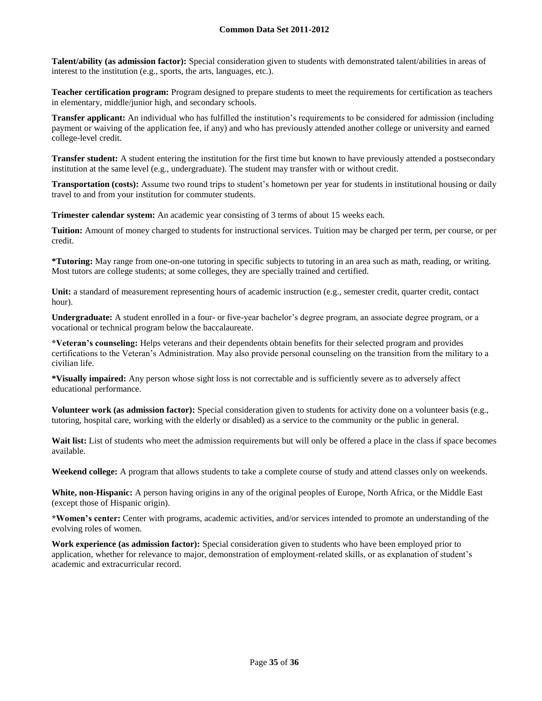**Talent/ability (as admission factor):** Special consideration given to students with demonstrated talent/abilities in areas of interest to the institution (e.g., sports, the arts, languages, etc.).

**Teacher certification program:** Program designed to prepare students to meet the requirements for certification as teachers in elementary, middle/junior high, and secondary schools.

**Transfer applicant:** An individual who has fulfilled the institution's requirements to be considered for admission (including payment or waiving of the application fee, if any) and who has previously attended another college or university and earned college-level credit.

**Transfer student:** A student entering the institution for the first time but known to have previously attended a postsecondary institution at the same level (e.g., undergraduate). The student may transfer with or without credit.

**Transportation (costs):** Assume two round trips to student's hometown per year for students in institutional housing or daily travel to and from your institution for commuter students.

**Trimester calendar system:** An academic year consisting of 3 terms of about 15 weeks each.

**Tuition:** Amount of money charged to students for instructional services. Tuition may be charged per term, per course, or per credit.

**\*Tutoring:** May range from one-on-one tutoring in specific subjects to tutoring in an area such as math, reading, or writing. Most tutors are college students; at some colleges, they are specially trained and certified.

Unit: a standard of measurement representing hours of academic instruction (e.g., semester credit, quarter credit, contact hour).

**Undergraduate:** A student enrolled in a four- or five-year bachelor's degree program, an associate degree program, or a vocational or technical program below the baccalaureate.

**\*Veteran's counseling:** Helps veterans and their dependents obtain benefits for their selected program and provides certifications to the Veteran's Administration. May also provide personal counseling on the transition from the military to a civilian life.

**\*Visually impaired:** Any person whose sight loss is not correctable and is sufficiently severe as to adversely affect educational performance.

**Volunteer work (as admission factor):** Special consideration given to students for activity done on a volunteer basis (e.g., tutoring, hospital care, working with the elderly or disabled) as a service to the community or the public in general.

**Wait list:** List of students who meet the admission requirements but will only be offered a place in the class if space becomes available.

**Weekend college:** A program that allows students to take a complete course of study and attend classes only on weekends.

**White, non-Hispanic:** A person having origins in any of the original peoples of Europe, North Africa, or the Middle East (except those of Hispanic origin).

**\*Women's center:** Center with programs, academic activities, and/or services intended to promote an understanding of the evolving roles of women.

**Work experience (as admission factor):** Special consideration given to students who have been employed prior to application, whether for relevance to major, demonstration of employment-related skills, or as explanation of student's academic and extracurricular record.